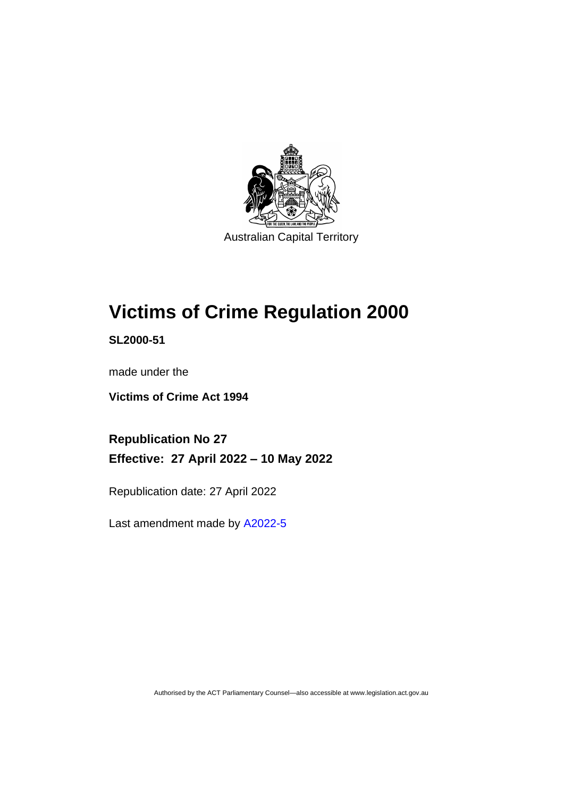

# **Victims of Crime Regulation 2000**

**SL2000-51**

made under the

**Victims of Crime Act 1994**

**Republication No 27 Effective: 27 April 2022 – 10 May 2022**

Republication date: 27 April 2022

Last amendment made by [A2022-5](http://www.legislation.act.gov.au/a/2022-5/)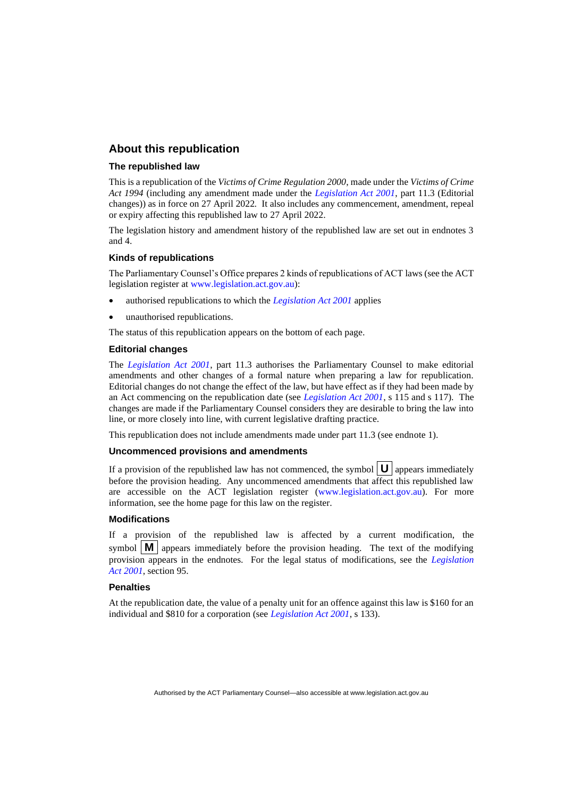## **About this republication**

#### **The republished law**

This is a republication of the *Victims of Crime Regulation 2000*, made under the *Victims of Crime Act 1994* (including any amendment made under the *[Legislation Act 2001](http://www.legislation.act.gov.au/a/2001-14)*, part 11.3 (Editorial changes)) as in force on 27 April 2022*.* It also includes any commencement, amendment, repeal or expiry affecting this republished law to 27 April 2022.

The legislation history and amendment history of the republished law are set out in endnotes 3 and 4.

#### **Kinds of republications**

The Parliamentary Counsel's Office prepares 2 kinds of republications of ACT laws (see the ACT legislation register at [www.legislation.act.gov.au\)](http://www.legislation.act.gov.au/):

- authorised republications to which the *[Legislation Act 2001](http://www.legislation.act.gov.au/a/2001-14)* applies
- unauthorised republications.

The status of this republication appears on the bottom of each page.

#### **Editorial changes**

The *[Legislation Act 2001](http://www.legislation.act.gov.au/a/2001-14)*, part 11.3 authorises the Parliamentary Counsel to make editorial amendments and other changes of a formal nature when preparing a law for republication. Editorial changes do not change the effect of the law, but have effect as if they had been made by an Act commencing on the republication date (see *[Legislation Act 2001](http://www.legislation.act.gov.au/a/2001-14)*, s 115 and s 117). The changes are made if the Parliamentary Counsel considers they are desirable to bring the law into line, or more closely into line, with current legislative drafting practice.

This republication does not include amendments made under part 11.3 (see endnote 1).

#### **Uncommenced provisions and amendments**

If a provision of the republished law has not commenced, the symbol  $\mathbf{U}$  appears immediately before the provision heading. Any uncommenced amendments that affect this republished law are accessible on the ACT legislation register [\(www.legislation.act.gov.au\)](http://www.legislation.act.gov.au/). For more information, see the home page for this law on the register.

#### **Modifications**

If a provision of the republished law is affected by a current modification, the symbol  $\mathbf{M}$  appears immediately before the provision heading. The text of the modifying provision appears in the endnotes. For the legal status of modifications, see the *[Legislation](http://www.legislation.act.gov.au/a/2001-14)  Act [2001](http://www.legislation.act.gov.au/a/2001-14)*, section 95.

#### **Penalties**

At the republication date, the value of a penalty unit for an offence against this law is \$160 for an individual and \$810 for a corporation (see *[Legislation Act 2001](http://www.legislation.act.gov.au/a/2001-14)*, s 133).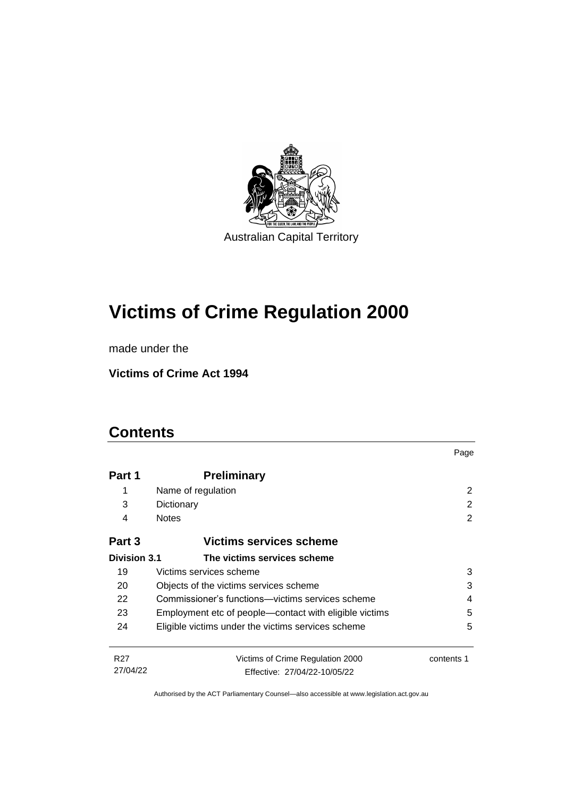

# **Victims of Crime Regulation 2000**

made under the

**Victims of Crime Act 1994**

# **Contents**

|                             |                                                                  | Page       |  |
|-----------------------------|------------------------------------------------------------------|------------|--|
| Part 1                      | <b>Preliminary</b>                                               |            |  |
| 1                           | Name of regulation                                               | 2          |  |
| 3                           | Dictionary                                                       | 2          |  |
| 4                           | <b>Notes</b>                                                     | 2          |  |
| Part 3                      | Victims services scheme                                          |            |  |
| <b>Division 3.1</b>         | The victims services scheme                                      |            |  |
| 19                          | Victims services scheme                                          | 3          |  |
| 20                          | 3<br>Objects of the victims services scheme                      |            |  |
| 22                          | Commissioner's functions—victims services scheme<br>4            |            |  |
| 23                          | Employment etc of people—contact with eligible victims           | 5          |  |
| 24                          | Eligible victims under the victims services scheme               | 5          |  |
| R <sub>27</sub><br>27/04/22 | Victims of Crime Regulation 2000<br>Effective: 27/04/22-10/05/22 | contents 1 |  |
|                             |                                                                  |            |  |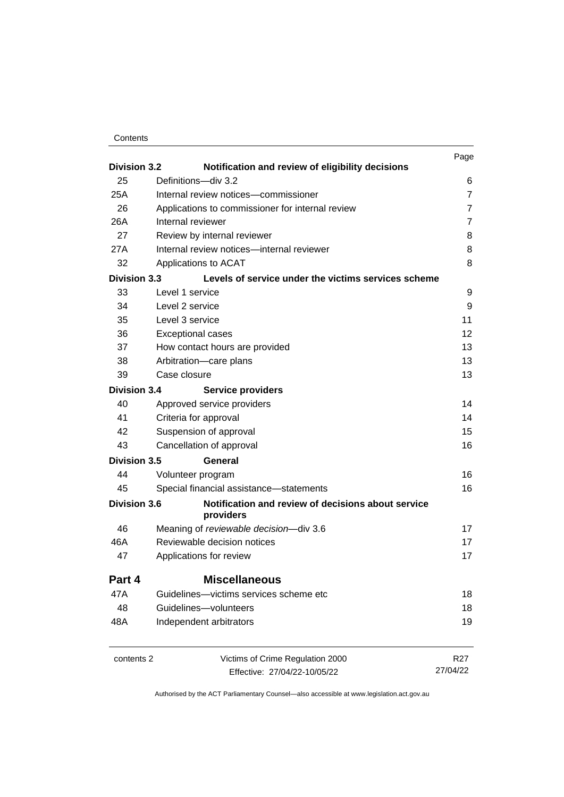| Contents |
|----------|
|----------|

| <b>Division 3.2</b>                                                                |                                                                         | Page                |
|------------------------------------------------------------------------------------|-------------------------------------------------------------------------|---------------------|
| 25                                                                                 | Notification and review of eligibility decisions<br>Definitions-div 3.2 |                     |
| 25A                                                                                | Internal review notices-commissioner                                    | 6<br>$\overline{7}$ |
|                                                                                    |                                                                         | $\overline{7}$      |
| 26<br>Applications to commissioner for internal review<br>26A<br>Internal reviewer |                                                                         | $\overline{7}$      |
| 27                                                                                 | Review by internal reviewer                                             | 8                   |
| 27A                                                                                | Internal review notices-internal reviewer                               | 8                   |
| 32                                                                                 | Applications to ACAT                                                    | 8                   |
| Division 3.3                                                                       |                                                                         |                     |
|                                                                                    | Levels of service under the victims services scheme                     |                     |
| 33                                                                                 | Level 1 service                                                         | 9                   |
| 34                                                                                 | Level 2 service                                                         | 9                   |
| 35                                                                                 | Level 3 service                                                         | 11                  |
| 36                                                                                 | <b>Exceptional cases</b>                                                | $12 \overline{ }$   |
| 37                                                                                 | How contact hours are provided                                          | 13                  |
| 38                                                                                 | Arbitration-care plans                                                  | 13                  |
| 39                                                                                 | Case closure                                                            | 13                  |
| <b>Division 3.4</b>                                                                | <b>Service providers</b>                                                |                     |
| 40                                                                                 | Approved service providers                                              | 14                  |
| 41                                                                                 | Criteria for approval                                                   | 14                  |
| 42                                                                                 | Suspension of approval                                                  | 15                  |
| 43                                                                                 | Cancellation of approval                                                | 16                  |
| <b>Division 3.5</b>                                                                | General                                                                 |                     |
| 44                                                                                 | Volunteer program                                                       | 16                  |
| 45                                                                                 | Special financial assistance-statements                                 | 16                  |
| <b>Division 3.6</b>                                                                | Notification and review of decisions about service<br>providers         |                     |
| 46                                                                                 | Meaning of reviewable decision-div 3.6                                  | 17                  |
| 46A                                                                                | Reviewable decision notices                                             | 17                  |
| 47                                                                                 | Applications for review                                                 | 17                  |
| Part 4                                                                             | <b>Miscellaneous</b>                                                    |                     |
| 47A                                                                                | Guidelines-victims services scheme etc                                  | 18                  |
| 48                                                                                 | Guidelines-volunteers                                                   | 18                  |
| 48A                                                                                | Independent arbitrators                                                 | 19                  |
| contents 2                                                                         | Victims of Crime Regulation 2000                                        | R <sub>27</sub>     |
|                                                                                    | Effective: 27/04/22-10/05/22                                            | 27/04/22            |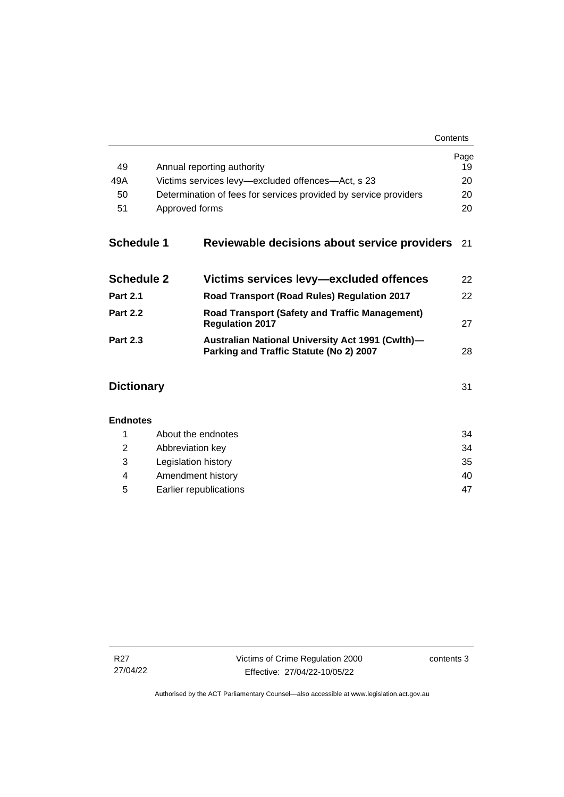| Contents |
|----------|
|----------|

|                   |                                                                  |                                                                                             | Page<br>19 |
|-------------------|------------------------------------------------------------------|---------------------------------------------------------------------------------------------|------------|
| 49                | Annual reporting authority                                       |                                                                                             |            |
| 49A               | Victims services levy-excluded offences-Act, s 23                |                                                                                             |            |
| 50                | Determination of fees for services provided by service providers |                                                                                             |            |
| 51                | Approved forms                                                   |                                                                                             | 20         |
| <b>Schedule 1</b> |                                                                  | Reviewable decisions about service providers                                                | 21         |
| <b>Schedule 2</b> |                                                                  | Victims services levy-excluded offences                                                     | 22         |
| <b>Part 2.1</b>   |                                                                  | Road Transport (Road Rules) Regulation 2017                                                 | 22         |
| <b>Part 2.2</b>   | <b>Regulation 2017</b>                                           | <b>Road Transport (Safety and Traffic Management)</b>                                       | 27         |
| <b>Part 2.3</b>   |                                                                  | Australian National University Act 1991 (Cwlth)-<br>Parking and Traffic Statute (No 2) 2007 | 28         |
| <b>Dictionary</b> |                                                                  |                                                                                             | 31         |
| <b>Endnotes</b>   |                                                                  |                                                                                             |            |
| 1                 | About the endnotes                                               |                                                                                             | 34         |
| 2                 | Abbreviation key                                                 |                                                                                             | 34         |
| 3                 | Legislation history                                              |                                                                                             | 35         |
| 4                 | Amendment history                                                |                                                                                             | 40         |

5 [Earlier republications](#page-52-0) 47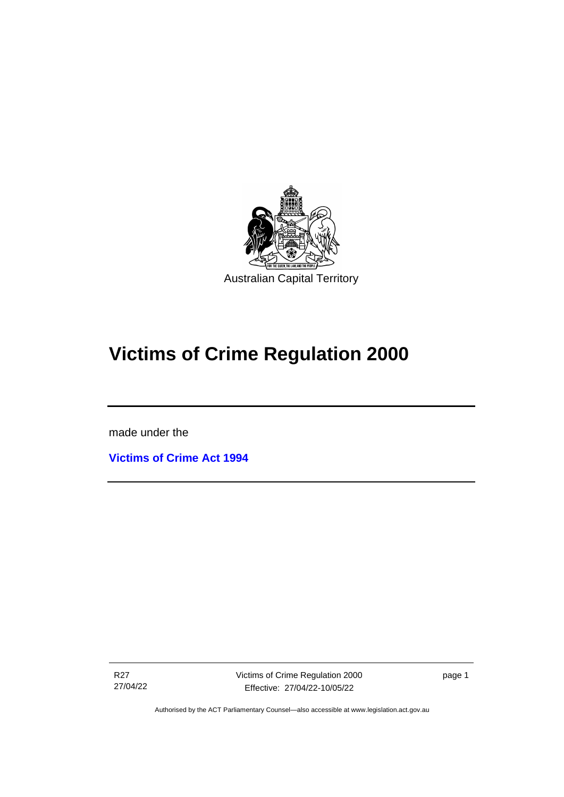

# **Victims of Crime Regulation 2000**

made under the

ׇֺ֘֒֡

**[Victims of Crime Act 1994](http://www.legislation.act.gov.au/a/1994-83)**

R27 27/04/22 page 1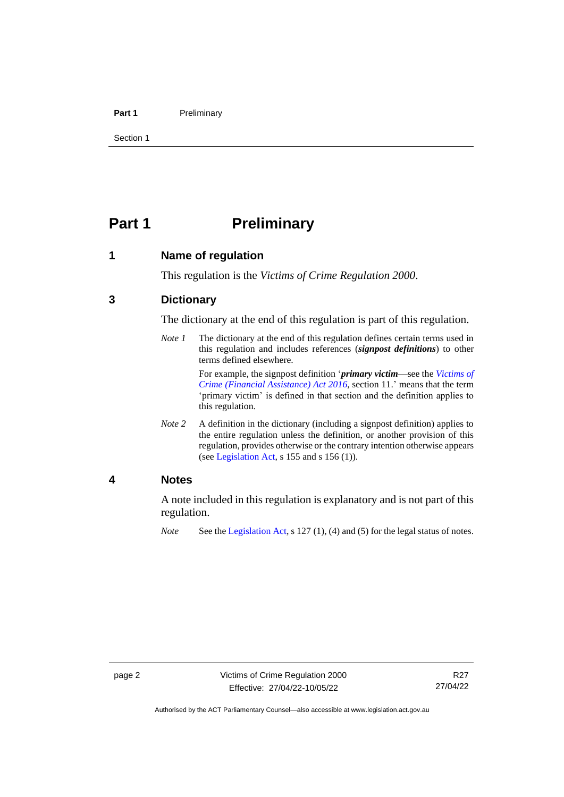#### **Part 1** Preliminary

Section 1

# <span id="page-7-0"></span>**Part 1 Preliminary**

<span id="page-7-1"></span>**1 Name of regulation**

This regulation is the *Victims of Crime Regulation 2000*.

# <span id="page-7-2"></span>**3 Dictionary**

The dictionary at the end of this regulation is part of this regulation.

*Note 1* The dictionary at the end of this regulation defines certain terms used in this regulation and includes references (*signpost definitions*) to other terms defined elsewhere.

> For example, the signpost definition '*primary victim*—see the *[Victims of](http://www.legislation.act.gov.au/a/2016-12/default.asp)  [Crime \(Financial Assistance\) Act](http://www.legislation.act.gov.au/a/2016-12/default.asp) 2016*, section 11.' means that the term 'primary victim' is defined in that section and the definition applies to this regulation.

*Note* 2 A definition in the dictionary (including a signpost definition) applies to the entire regulation unless the definition, or another provision of this regulation, provides otherwise or the contrary intention otherwise appears (se[e Legislation Act,](http://www.legislation.act.gov.au/a/2001-14) s 155 and s 156 (1)).

# <span id="page-7-3"></span>**4 Notes**

A note included in this regulation is explanatory and is not part of this regulation.

*Note* See the [Legislation Act,](http://www.legislation.act.gov.au/a/2001-14) s 127 (1), (4) and (5) for the legal status of notes.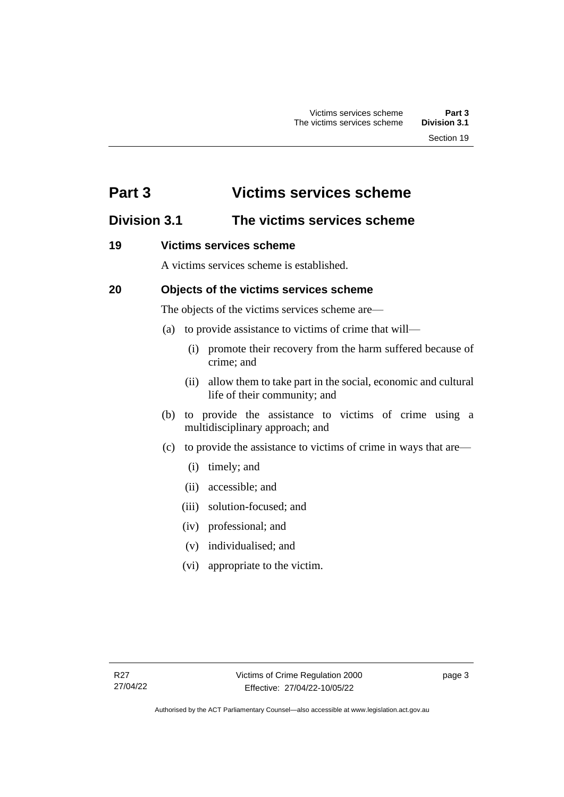# <span id="page-8-0"></span>**Part 3 Victims services scheme**

# <span id="page-8-1"></span>**Division 3.1 The victims services scheme**

# <span id="page-8-2"></span>**19 Victims services scheme**

A victims services scheme is established.

# <span id="page-8-3"></span>**20 Objects of the victims services scheme**

The objects of the victims services scheme are—

- (a) to provide assistance to victims of crime that will—
	- (i) promote their recovery from the harm suffered because of crime; and
	- (ii) allow them to take part in the social, economic and cultural life of their community; and
- (b) to provide the assistance to victims of crime using a multidisciplinary approach; and
- (c) to provide the assistance to victims of crime in ways that are—
	- (i) timely; and
	- (ii) accessible; and
	- (iii) solution-focused; and
	- (iv) professional; and
	- (v) individualised; and
	- (vi) appropriate to the victim.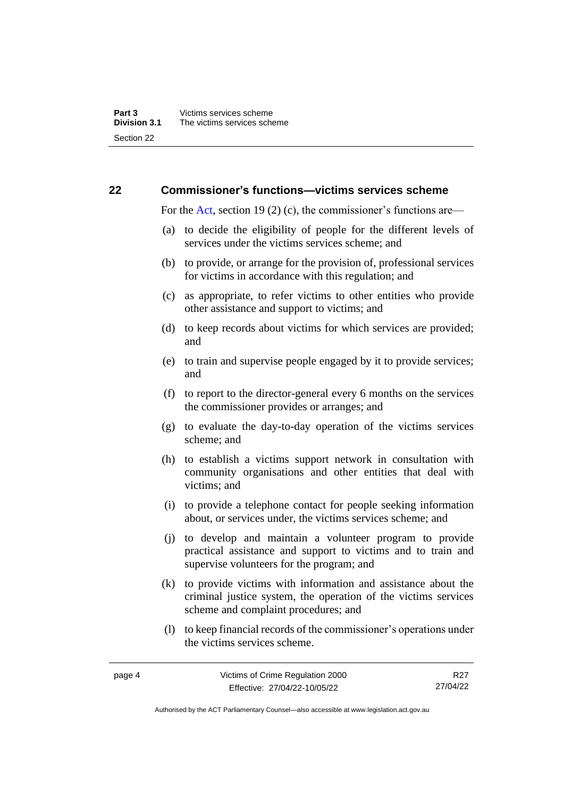## <span id="page-9-0"></span>**22 Commissioner's functions—victims services scheme**

For the [Act,](http://www.legislation.act.gov.au/a/1994-83/default.asp) section 19 (2) (c), the commissioner's functions are—

- (a) to decide the eligibility of people for the different levels of services under the victims services scheme; and
- (b) to provide, or arrange for the provision of, professional services for victims in accordance with this regulation; and
- (c) as appropriate, to refer victims to other entities who provide other assistance and support to victims; and
- (d) to keep records about victims for which services are provided; and
- (e) to train and supervise people engaged by it to provide services; and
- (f) to report to the director-general every 6 months on the services the commissioner provides or arranges; and
- (g) to evaluate the day-to-day operation of the victims services scheme; and
- (h) to establish a victims support network in consultation with community organisations and other entities that deal with victims; and
- (i) to provide a telephone contact for people seeking information about, or services under, the victims services scheme; and
- (j) to develop and maintain a volunteer program to provide practical assistance and support to victims and to train and supervise volunteers for the program; and
- (k) to provide victims with information and assistance about the criminal justice system, the operation of the victims services scheme and complaint procedures; and
- (l) to keep financial records of the commissioner's operations under the victims services scheme.

page 4 Victims of Crime Regulation 2000 Effective: 27/04/22-10/05/22 R<sub>27</sub> 27/04/22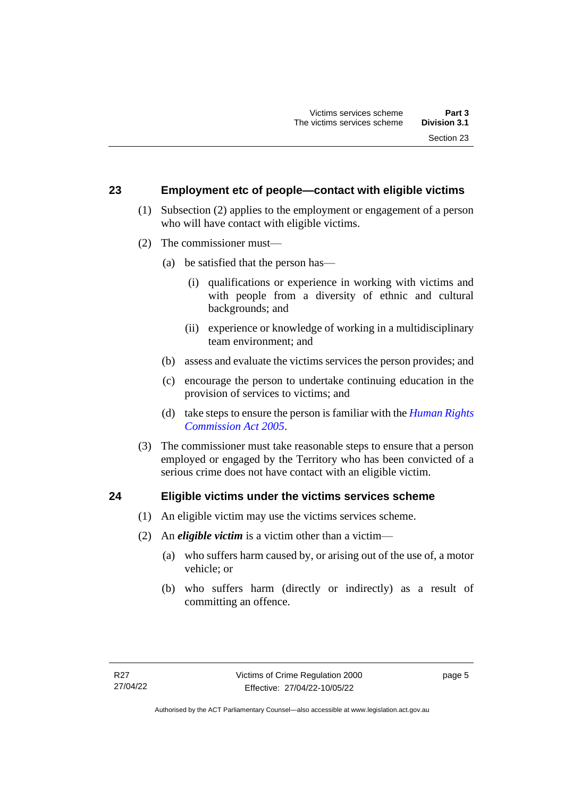## <span id="page-10-0"></span>**23 Employment etc of people—contact with eligible victims**

- (1) Subsection (2) applies to the employment or engagement of a person who will have contact with eligible victims.
- (2) The commissioner must—
	- (a) be satisfied that the person has—
		- (i) qualifications or experience in working with victims and with people from a diversity of ethnic and cultural backgrounds; and
		- (ii) experience or knowledge of working in a multidisciplinary team environment; and
	- (b) assess and evaluate the victims services the person provides; and
	- (c) encourage the person to undertake continuing education in the provision of services to victims; and
	- (d) take steps to ensure the person is familiar with the *[Human Rights](http://www.legislation.act.gov.au/a/2005-40)  [Commission Act 2005](http://www.legislation.act.gov.au/a/2005-40)*.
- (3) The commissioner must take reasonable steps to ensure that a person employed or engaged by the Territory who has been convicted of a serious crime does not have contact with an eligible victim.

#### <span id="page-10-1"></span>**24 Eligible victims under the victims services scheme**

- (1) An eligible victim may use the victims services scheme.
- (2) An *eligible victim* is a victim other than a victim—
	- (a) who suffers harm caused by, or arising out of the use of, a motor vehicle; or
	- (b) who suffers harm (directly or indirectly) as a result of committing an offence.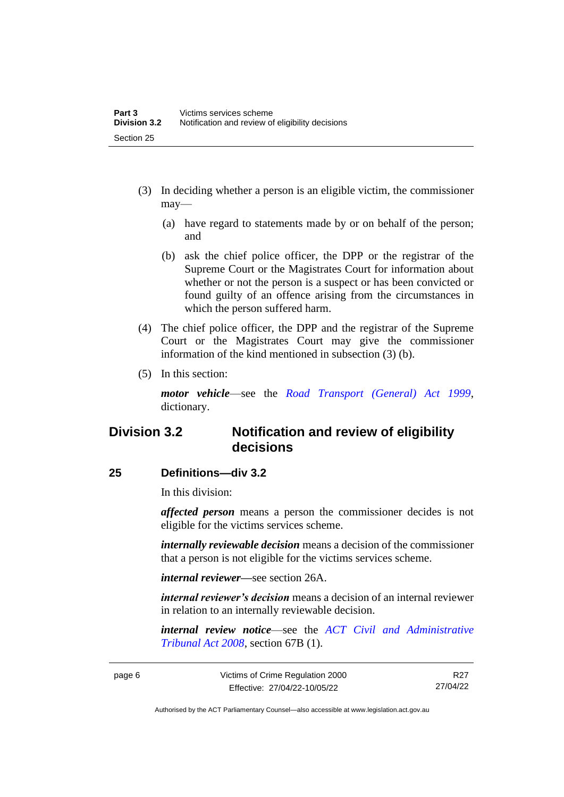- (3) In deciding whether a person is an eligible victim, the commissioner may—
	- (a) have regard to statements made by or on behalf of the person; and
	- (b) ask the chief police officer, the DPP or the registrar of the Supreme Court or the Magistrates Court for information about whether or not the person is a suspect or has been convicted or found guilty of an offence arising from the circumstances in which the person suffered harm.
- (4) The chief police officer, the DPP and the registrar of the Supreme Court or the Magistrates Court may give the commissioner information of the kind mentioned in subsection (3) (b).
- (5) In this section:

*motor vehicle*—see the *[Road Transport \(General\) Act 1999](http://www.legislation.act.gov.au/a/1999-77)*, dictionary.

# <span id="page-11-0"></span>**Division 3.2 Notification and review of eligibility decisions**

# <span id="page-11-1"></span>**25 Definitions—div 3.2**

In this division:

*affected person* means a person the commissioner decides is not eligible for the victims services scheme.

*internally reviewable decision* means a decision of the commissioner that a person is not eligible for the victims services scheme.

*internal reviewer—*see section 26A.

*internal reviewer's decision* means a decision of an internal reviewer in relation to an internally reviewable decision.

*internal review notice*—see the *[ACT Civil and Administrative](http://www.legislation.act.gov.au/a/2008-35)  [Tribunal Act 2008](http://www.legislation.act.gov.au/a/2008-35)*, section 67B (1).

R<sub>27</sub> 27/04/22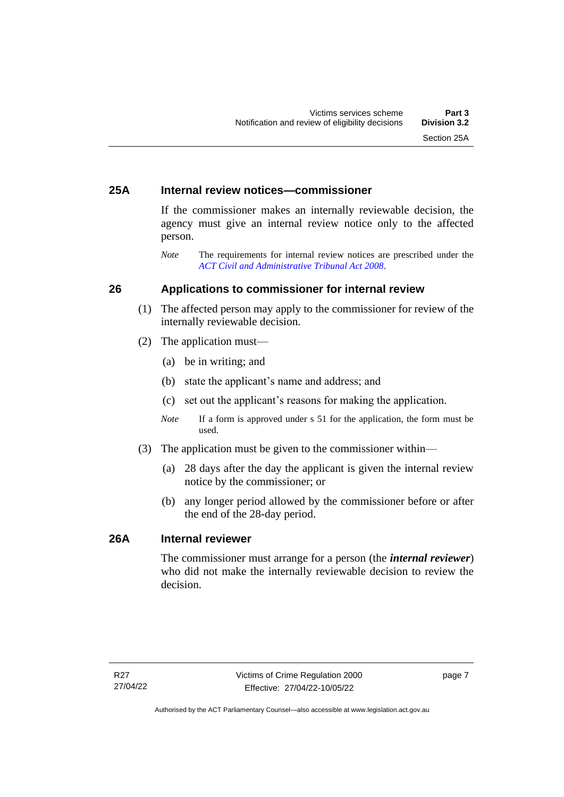# <span id="page-12-0"></span>**25A Internal review notices—commissioner**

If the commissioner makes an internally reviewable decision, the agency must give an internal review notice only to the affected person.

*Note* The requirements for internal review notices are prescribed under the *[ACT Civil and Administrative Tribunal Act 2008](http://www.legislation.act.gov.au/a/2008-35)*.

# <span id="page-12-1"></span>**26 Applications to commissioner for internal review**

- (1) The affected person may apply to the commissioner for review of the internally reviewable decision.
- (2) The application must—
	- (a) be in writing; and
	- (b) state the applicant's name and address; and
	- (c) set out the applicant's reasons for making the application.
	- *Note* If a form is approved under s 51 for the application, the form must be used.
- (3) The application must be given to the commissioner within—
	- (a) 28 days after the day the applicant is given the internal review notice by the commissioner; or
	- (b) any longer period allowed by the commissioner before or after the end of the 28-day period.

# <span id="page-12-2"></span>**26A Internal reviewer**

The commissioner must arrange for a person (the *internal reviewer*) who did not make the internally reviewable decision to review the decision.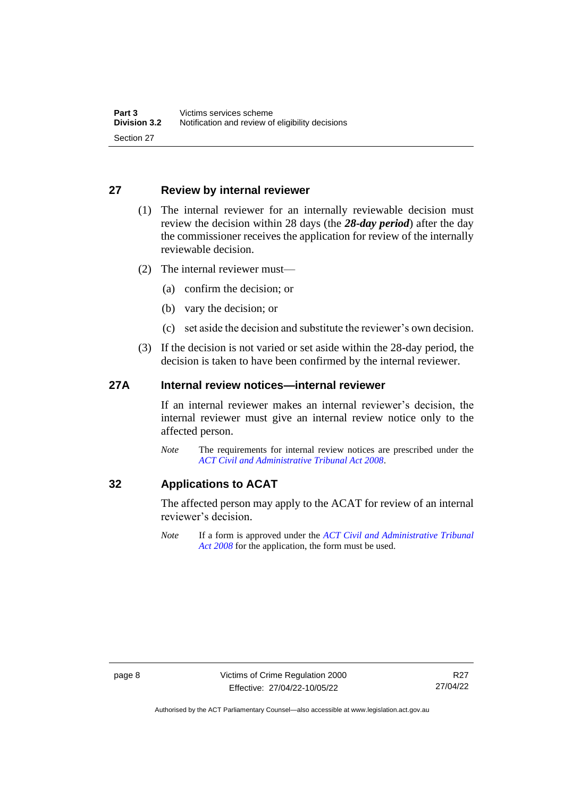# <span id="page-13-0"></span>**27 Review by internal reviewer**

- (1) The internal reviewer for an internally reviewable decision must review the decision within 28 days (the *28-day period*) after the day the commissioner receives the application for review of the internally reviewable decision.
- (2) The internal reviewer must—
	- (a) confirm the decision; or
	- (b) vary the decision; or
	- (c) set aside the decision and substitute the reviewer's own decision.
- (3) If the decision is not varied or set aside within the 28-day period, the decision is taken to have been confirmed by the internal reviewer.

# <span id="page-13-1"></span>**27A Internal review notices—internal reviewer**

If an internal reviewer makes an internal reviewer's decision, the internal reviewer must give an internal review notice only to the affected person.

*Note* The requirements for internal review notices are prescribed under the *[ACT Civil and Administrative Tribunal Act 2008](http://www.legislation.act.gov.au/a/2008-35)*.

# <span id="page-13-2"></span>**32 Applications to ACAT**

The affected person may apply to the ACAT for review of an internal reviewer's decision.

*Note* If a form is approved under the *[ACT Civil and Administrative Tribunal](http://www.legislation.act.gov.au/a/2008-35)  [Act 2008](http://www.legislation.act.gov.au/a/2008-35)* for the application, the form must be used.

Authorised by the ACT Parliamentary Counsel—also accessible at www.legislation.act.gov.au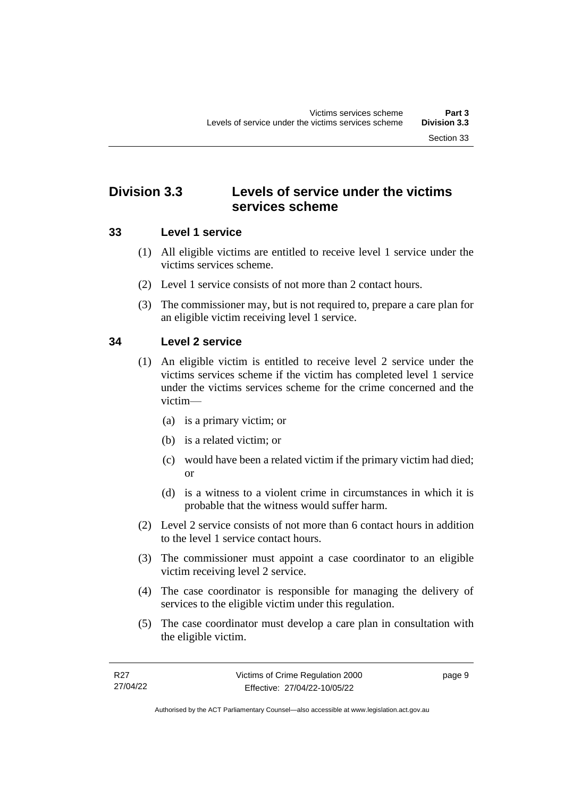# <span id="page-14-0"></span>**Division 3.3 Levels of service under the victims services scheme**

# <span id="page-14-1"></span>**33 Level 1 service**

- (1) All eligible victims are entitled to receive level 1 service under the victims services scheme.
- (2) Level 1 service consists of not more than 2 contact hours.
- (3) The commissioner may, but is not required to, prepare a care plan for an eligible victim receiving level 1 service.

# <span id="page-14-2"></span>**34 Level 2 service**

- (1) An eligible victim is entitled to receive level 2 service under the victims services scheme if the victim has completed level 1 service under the victims services scheme for the crime concerned and the victim—
	- (a) is a primary victim; or
	- (b) is a related victim; or
	- (c) would have been a related victim if the primary victim had died; or
	- (d) is a witness to a violent crime in circumstances in which it is probable that the witness would suffer harm.
- (2) Level 2 service consists of not more than 6 contact hours in addition to the level 1 service contact hours.
- (3) The commissioner must appoint a case coordinator to an eligible victim receiving level 2 service.
- (4) The case coordinator is responsible for managing the delivery of services to the eligible victim under this regulation.
- (5) The case coordinator must develop a care plan in consultation with the eligible victim.

page 9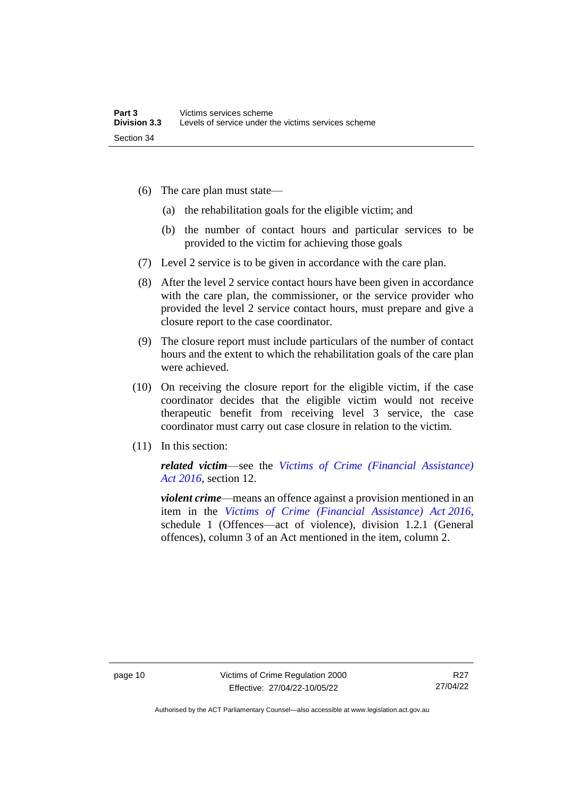- (6) The care plan must state—
	- (a) the rehabilitation goals for the eligible victim; and
	- (b) the number of contact hours and particular services to be provided to the victim for achieving those goals
- (7) Level 2 service is to be given in accordance with the care plan.
- (8) After the level 2 service contact hours have been given in accordance with the care plan, the commissioner, or the service provider who provided the level 2 service contact hours, must prepare and give a closure report to the case coordinator.
- (9) The closure report must include particulars of the number of contact hours and the extent to which the rehabilitation goals of the care plan were achieved.
- (10) On receiving the closure report for the eligible victim, if the case coordinator decides that the eligible victim would not receive therapeutic benefit from receiving level 3 service, the case coordinator must carry out case closure in relation to the victim.
- (11) In this section:

*related victim*—see the *[Victims of Crime \(Financial Assistance\)](http://www.legislation.act.gov.au/a/2016-12/default.asp)  Act [2016](http://www.legislation.act.gov.au/a/2016-12/default.asp)*, section 12.

*violent crime*—means an offence against a provision mentioned in an item in the *[Victims of Crime \(Financial Assistance\) Act](http://www.legislation.act.gov.au/a/2016-12/default.asp) 2016*, schedule 1 (Offences—act of violence), division 1.2.1 (General offences), column 3 of an Act mentioned in the item, column 2.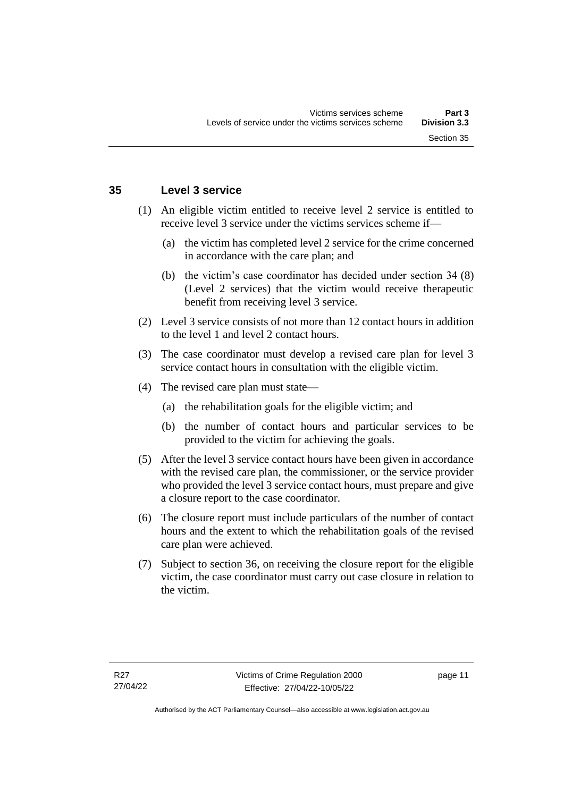### <span id="page-16-0"></span>**35 Level 3 service**

- (1) An eligible victim entitled to receive level 2 service is entitled to receive level 3 service under the victims services scheme if—
	- (a) the victim has completed level 2 service for the crime concerned in accordance with the care plan; and
	- (b) the victim's case coordinator has decided under section 34 (8) (Level 2 services) that the victim would receive therapeutic benefit from receiving level 3 service.
- (2) Level 3 service consists of not more than 12 contact hours in addition to the level 1 and level 2 contact hours.
- (3) The case coordinator must develop a revised care plan for level 3 service contact hours in consultation with the eligible victim.
- (4) The revised care plan must state—
	- (a) the rehabilitation goals for the eligible victim; and
	- (b) the number of contact hours and particular services to be provided to the victim for achieving the goals.
- (5) After the level 3 service contact hours have been given in accordance with the revised care plan, the commissioner, or the service provider who provided the level 3 service contact hours, must prepare and give a closure report to the case coordinator.
- (6) The closure report must include particulars of the number of contact hours and the extent to which the rehabilitation goals of the revised care plan were achieved.
- (7) Subject to section 36, on receiving the closure report for the eligible victim, the case coordinator must carry out case closure in relation to the victim.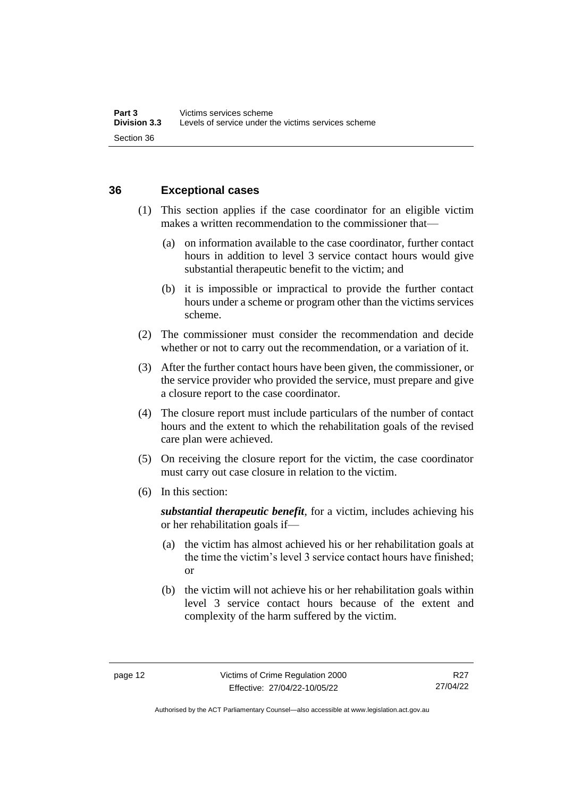# <span id="page-17-0"></span>**36 Exceptional cases**

- (1) This section applies if the case coordinator for an eligible victim makes a written recommendation to the commissioner that—
	- (a) on information available to the case coordinator, further contact hours in addition to level 3 service contact hours would give substantial therapeutic benefit to the victim; and
	- (b) it is impossible or impractical to provide the further contact hours under a scheme or program other than the victims services scheme.
- (2) The commissioner must consider the recommendation and decide whether or not to carry out the recommendation, or a variation of it.
- (3) After the further contact hours have been given, the commissioner, or the service provider who provided the service, must prepare and give a closure report to the case coordinator.
- (4) The closure report must include particulars of the number of contact hours and the extent to which the rehabilitation goals of the revised care plan were achieved.
- (5) On receiving the closure report for the victim, the case coordinator must carry out case closure in relation to the victim.
- (6) In this section:

*substantial therapeutic benefit*, for a victim, includes achieving his or her rehabilitation goals if—

- (a) the victim has almost achieved his or her rehabilitation goals at the time the victim's level 3 service contact hours have finished; or
- (b) the victim will not achieve his or her rehabilitation goals within level 3 service contact hours because of the extent and complexity of the harm suffered by the victim.

Authorised by the ACT Parliamentary Counsel—also accessible at www.legislation.act.gov.au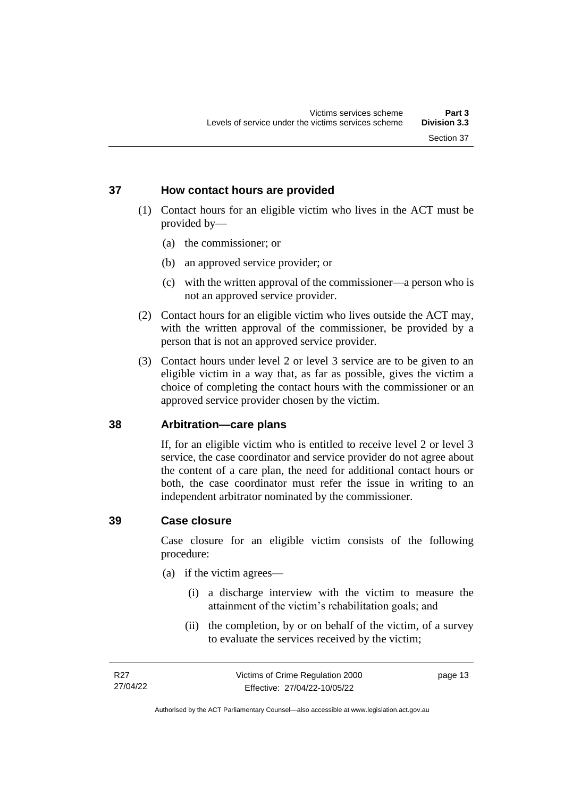# <span id="page-18-0"></span>**37 How contact hours are provided**

- (1) Contact hours for an eligible victim who lives in the ACT must be provided by—
	- (a) the commissioner; or
	- (b) an approved service provider; or
	- (c) with the written approval of the commissioner—a person who is not an approved service provider.
- (2) Contact hours for an eligible victim who lives outside the ACT may, with the written approval of the commissioner, be provided by a person that is not an approved service provider.
- (3) Contact hours under level 2 or level 3 service are to be given to an eligible victim in a way that, as far as possible, gives the victim a choice of completing the contact hours with the commissioner or an approved service provider chosen by the victim.

# <span id="page-18-1"></span>**38 Arbitration—care plans**

If, for an eligible victim who is entitled to receive level 2 or level 3 service, the case coordinator and service provider do not agree about the content of a care plan, the need for additional contact hours or both, the case coordinator must refer the issue in writing to an independent arbitrator nominated by the commissioner.

### <span id="page-18-2"></span>**39 Case closure**

Case closure for an eligible victim consists of the following procedure:

- (a) if the victim agrees—
	- (i) a discharge interview with the victim to measure the attainment of the victim's rehabilitation goals; and
	- (ii) the completion, by or on behalf of the victim, of a survey to evaluate the services received by the victim;

page 13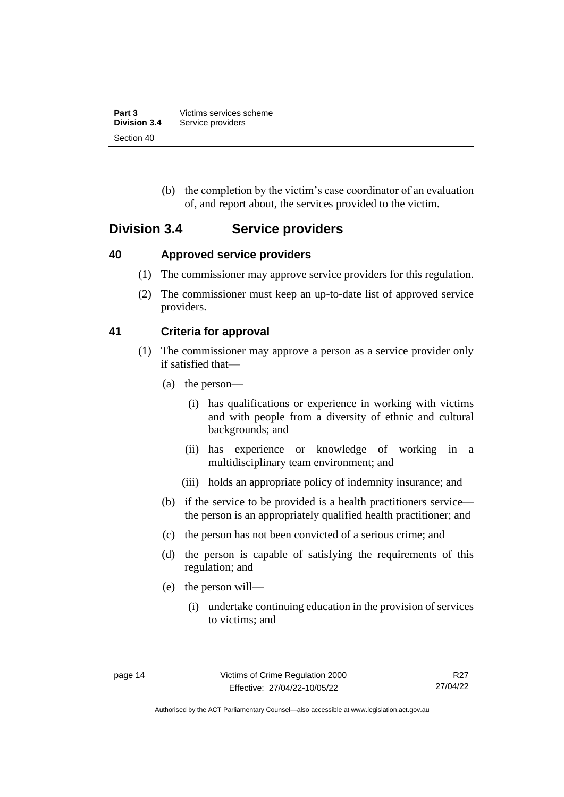| Part 3              | Victims services scheme |
|---------------------|-------------------------|
| <b>Division 3.4</b> | Service providers       |
| Section 40          |                         |

(b) the completion by the victim's case coordinator of an evaluation of, and report about, the services provided to the victim.

# <span id="page-19-0"></span>**Division 3.4 Service providers**

# <span id="page-19-1"></span>**40 Approved service providers**

- (1) The commissioner may approve service providers for this regulation.
- (2) The commissioner must keep an up-to-date list of approved service providers.

# <span id="page-19-2"></span>**41 Criteria for approval**

- (1) The commissioner may approve a person as a service provider only if satisfied that—
	- (a) the person—
		- (i) has qualifications or experience in working with victims and with people from a diversity of ethnic and cultural backgrounds; and
		- (ii) has experience or knowledge of working in a multidisciplinary team environment; and
		- (iii) holds an appropriate policy of indemnity insurance; and
	- (b) if the service to be provided is a health practitioners service the person is an appropriately qualified health practitioner; and
	- (c) the person has not been convicted of a serious crime; and
	- (d) the person is capable of satisfying the requirements of this regulation; and
	- (e) the person will—
		- (i) undertake continuing education in the provision of services to victims; and

Authorised by the ACT Parliamentary Counsel—also accessible at www.legislation.act.gov.au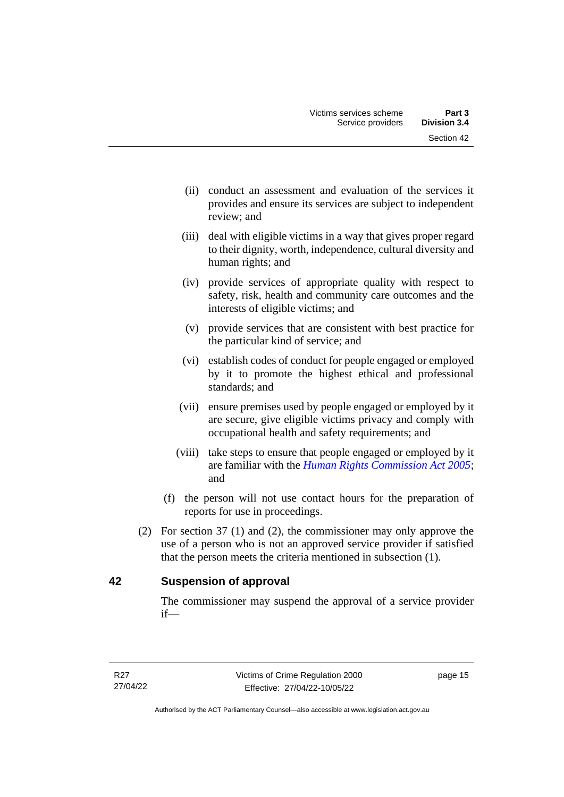- (ii) conduct an assessment and evaluation of the services it provides and ensure its services are subject to independent review; and
- (iii) deal with eligible victims in a way that gives proper regard to their dignity, worth, independence, cultural diversity and human rights; and
- (iv) provide services of appropriate quality with respect to safety, risk, health and community care outcomes and the interests of eligible victims; and
- (v) provide services that are consistent with best practice for the particular kind of service; and
- (vi) establish codes of conduct for people engaged or employed by it to promote the highest ethical and professional standards; and
- (vii) ensure premises used by people engaged or employed by it are secure, give eligible victims privacy and comply with occupational health and safety requirements; and
- (viii) take steps to ensure that people engaged or employed by it are familiar with the *[Human Rights Commission Act 2005](http://www.legislation.act.gov.au/a/2005-40)*; and
- (f) the person will not use contact hours for the preparation of reports for use in proceedings.
- (2) For section 37 (1) and (2), the commissioner may only approve the use of a person who is not an approved service provider if satisfied that the person meets the criteria mentioned in subsection (1).

# <span id="page-20-0"></span>**42 Suspension of approval**

The commissioner may suspend the approval of a service provider if—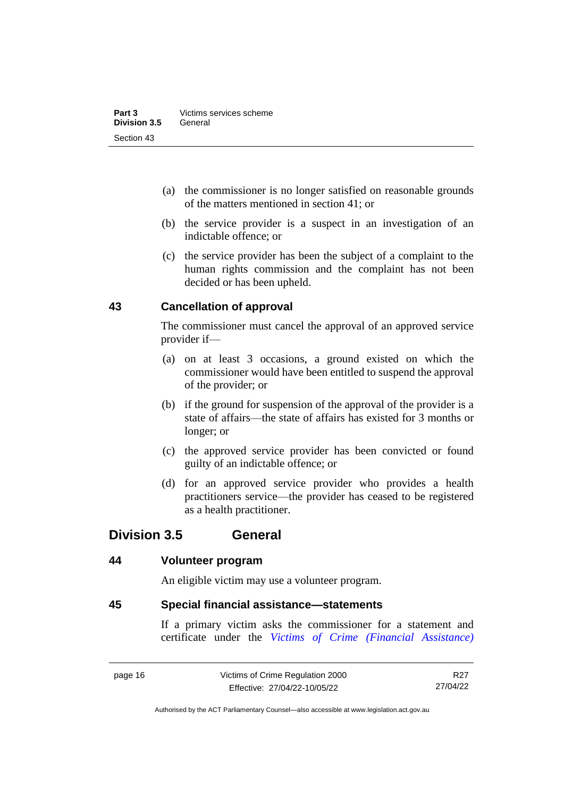- (a) the commissioner is no longer satisfied on reasonable grounds of the matters mentioned in section 41; or
- (b) the service provider is a suspect in an investigation of an indictable offence; or
- (c) the service provider has been the subject of a complaint to the human rights commission and the complaint has not been decided or has been upheld.

# <span id="page-21-0"></span>**43 Cancellation of approval**

The commissioner must cancel the approval of an approved service provider if—

- (a) on at least 3 occasions, a ground existed on which the commissioner would have been entitled to suspend the approval of the provider; or
- (b) if the ground for suspension of the approval of the provider is a state of affairs—the state of affairs has existed for 3 months or longer; or
- (c) the approved service provider has been convicted or found guilty of an indictable offence; or
- (d) for an approved service provider who provides a health practitioners service—the provider has ceased to be registered as a health practitioner.

# <span id="page-21-1"></span>**Division 3.5 General**

# <span id="page-21-2"></span>**44 Volunteer program**

An eligible victim may use a volunteer program.

# <span id="page-21-3"></span>**45 Special financial assistance—statements**

If a primary victim asks the commissioner for a statement and certificate under the *[Victims of Crime \(Financial Assistance\)](http://www.legislation.act.gov.au/a/1983-11)* 

page 16 Victims of Crime Regulation 2000 Effective: 27/04/22-10/05/22

R<sub>27</sub> 27/04/22

Authorised by the ACT Parliamentary Counsel—also accessible at www.legislation.act.gov.au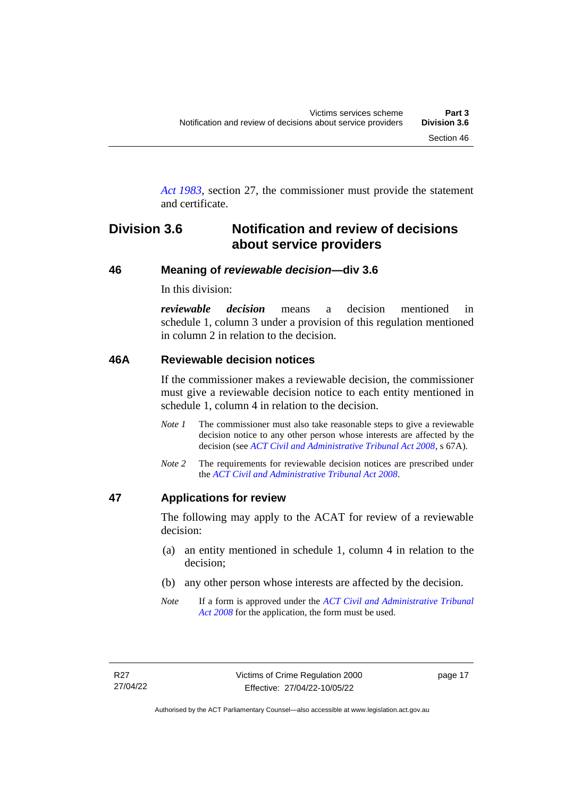*Act [1983](http://www.legislation.act.gov.au/a/1983-11)*, section 27, the commissioner must provide the statement and certificate.

# <span id="page-22-0"></span>**Division 3.6 Notification and review of decisions about service providers**

### <span id="page-22-1"></span>**46 Meaning of** *reviewable decision—***div 3.6**

In this division:

*reviewable decision* means a decision mentioned in schedule 1, column 3 under a provision of this regulation mentioned in column 2 in relation to the decision.

### <span id="page-22-2"></span>**46A Reviewable decision notices**

If the commissioner makes a reviewable decision, the commissioner must give a reviewable decision notice to each entity mentioned in schedule 1, column 4 in relation to the decision.

- *Note 1* The commissioner must also take reasonable steps to give a reviewable decision notice to any other person whose interests are affected by the decision (see *[ACT Civil and Administrative Tribunal Act 2008](http://www.legislation.act.gov.au/a/2008-35)*, s 67A).
- *Note 2* The requirements for reviewable decision notices are prescribed under the *[ACT Civil and Administrative Tribunal Act 2008](http://www.legislation.act.gov.au/a/2008-35)*.

#### <span id="page-22-3"></span>**47 Applications for review**

The following may apply to the ACAT for review of a reviewable decision:

- (a) an entity mentioned in schedule 1, column 4 in relation to the decision;
- (b) any other person whose interests are affected by the decision.
- *Note* If a form is approved under the *[ACT Civil and Administrative Tribunal](http://www.legislation.act.gov.au/a/2008-35)  [Act 2008](http://www.legislation.act.gov.au/a/2008-35)* for the application, the form must be used.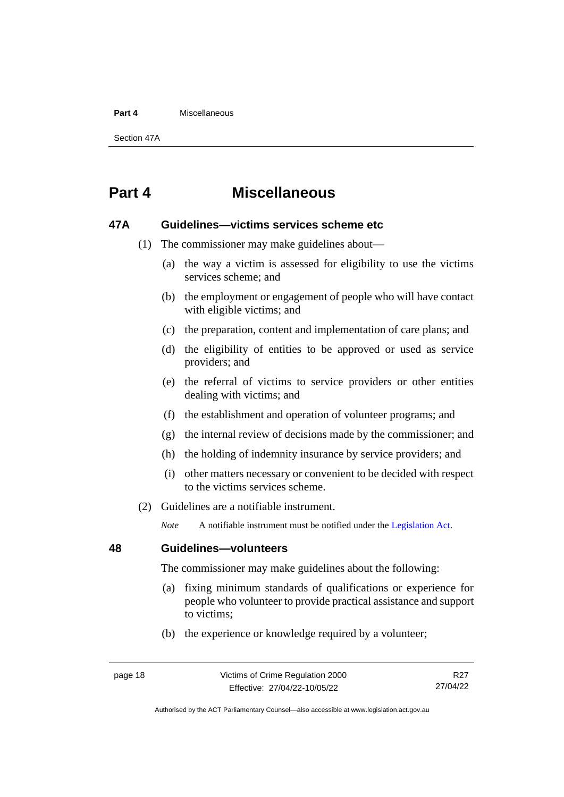#### **Part 4** Miscellaneous

Section 47A

# <span id="page-23-0"></span>**Part 4 Miscellaneous**

### <span id="page-23-1"></span>**47A Guidelines—victims services scheme etc**

- (1) The commissioner may make guidelines about—
	- (a) the way a victim is assessed for eligibility to use the victims services scheme; and
	- (b) the employment or engagement of people who will have contact with eligible victims; and
	- (c) the preparation, content and implementation of care plans; and
	- (d) the eligibility of entities to be approved or used as service providers; and
	- (e) the referral of victims to service providers or other entities dealing with victims; and
	- (f) the establishment and operation of volunteer programs; and
	- (g) the internal review of decisions made by the commissioner; and
	- (h) the holding of indemnity insurance by service providers; and
	- (i) other matters necessary or convenient to be decided with respect to the victims services scheme.
- (2) Guidelines are a notifiable instrument.

*Note* A notifiable instrument must be notified under the [Legislation Act.](http://www.legislation.act.gov.au/a/2001-14)

### <span id="page-23-2"></span>**48 Guidelines—volunteers**

The commissioner may make guidelines about the following:

- (a) fixing minimum standards of qualifications or experience for people who volunteer to provide practical assistance and support to victims;
- (b) the experience or knowledge required by a volunteer;

R<sub>27</sub> 27/04/22

Authorised by the ACT Parliamentary Counsel—also accessible at www.legislation.act.gov.au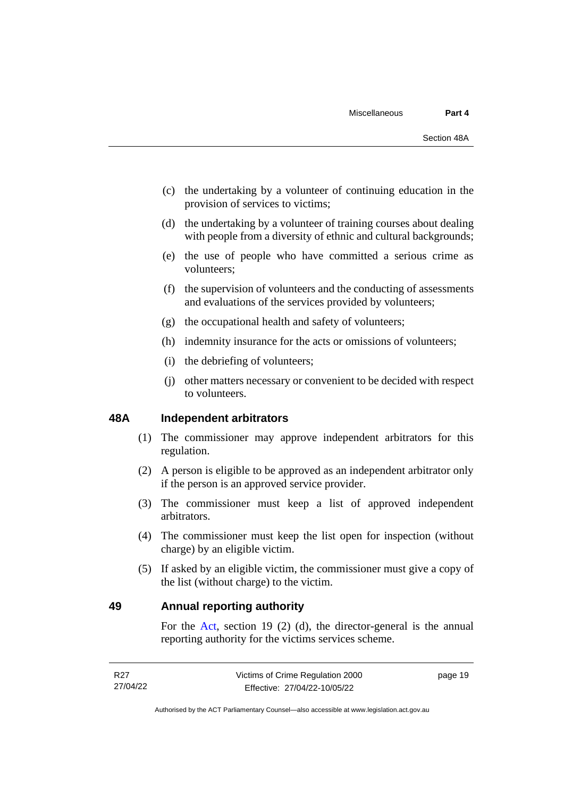- (c) the undertaking by a volunteer of continuing education in the provision of services to victims;
- (d) the undertaking by a volunteer of training courses about dealing with people from a diversity of ethnic and cultural backgrounds;
- (e) the use of people who have committed a serious crime as volunteers;
- (f) the supervision of volunteers and the conducting of assessments and evaluations of the services provided by volunteers;
- (g) the occupational health and safety of volunteers;
- (h) indemnity insurance for the acts or omissions of volunteers;
- (i) the debriefing of volunteers;
- (j) other matters necessary or convenient to be decided with respect to volunteers.

## <span id="page-24-0"></span>**48A Independent arbitrators**

- (1) The commissioner may approve independent arbitrators for this regulation.
- (2) A person is eligible to be approved as an independent arbitrator only if the person is an approved service provider.
- (3) The commissioner must keep a list of approved independent arbitrators.
- (4) The commissioner must keep the list open for inspection (without charge) by an eligible victim.
- (5) If asked by an eligible victim, the commissioner must give a copy of the list (without charge) to the victim.

# <span id="page-24-1"></span>**49 Annual reporting authority**

For the [Act,](http://www.legislation.act.gov.au/a/1994-83/default.asp) section 19 (2) (d), the director-general is the annual reporting authority for the victims services scheme.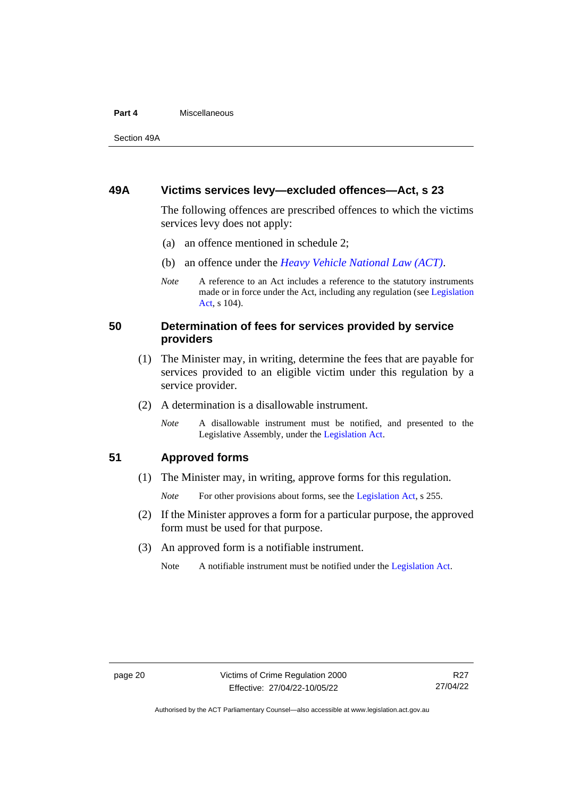#### **Part 4** Miscellaneous

Section 49A

### <span id="page-25-0"></span>**49A Victims services levy—excluded offences—Act, s 23**

The following offences are prescribed offences to which the victims services levy does not apply:

- (a) an offence mentioned in schedule 2;
- (b) an offence under the *[Heavy Vehicle National Law \(ACT\)](http://www.legislation.act.gov.au/a/db_49155/default.asp)*.
- *Note* A reference to an Act includes a reference to the statutory instruments made or in force under the Act, including any regulation (se[e Legislation](http://www.legislation.act.gov.au/a/2001-14)  [Act,](http://www.legislation.act.gov.au/a/2001-14) s 104).

# <span id="page-25-1"></span>**50 Determination of fees for services provided by service providers**

- (1) The Minister may, in writing, determine the fees that are payable for services provided to an eligible victim under this regulation by a service provider.
- (2) A determination is a disallowable instrument.
	- *Note* A disallowable instrument must be notified, and presented to the Legislative Assembly, under the [Legislation Act.](http://www.legislation.act.gov.au/a/2001-14)

# <span id="page-25-2"></span>**51 Approved forms**

(1) The Minister may, in writing, approve forms for this regulation.

*Note* For other provisions about forms, see the [Legislation Act,](http://www.legislation.act.gov.au/a/2001-14) s 255.

- (2) If the Minister approves a form for a particular purpose, the approved form must be used for that purpose.
- (3) An approved form is a notifiable instrument.
	- Note A notifiable instrument must be notified under the [Legislation Act.](http://www.legislation.act.gov.au/a/2001-14)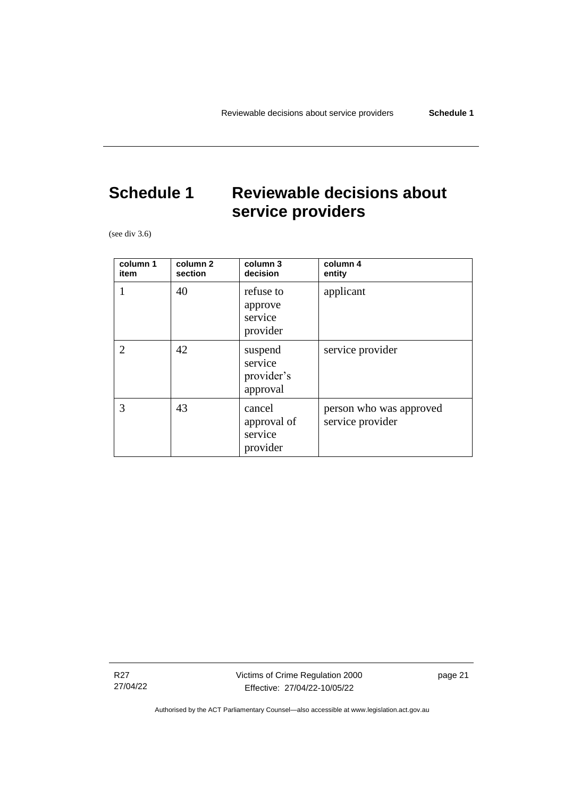# <span id="page-26-0"></span>**Schedule 1 Reviewable decisions about service providers**

(see div 3.6)

| column 1<br>item | column 2<br>section | column 3<br>decision                         | column 4<br>entity                          |
|------------------|---------------------|----------------------------------------------|---------------------------------------------|
| 1                | 40                  | refuse to<br>approve<br>service<br>provider  | applicant                                   |
| $\overline{2}$   | 42                  | suspend<br>service<br>provider's<br>approval | service provider                            |
| 3                | 43                  | cancel<br>approval of<br>service<br>provider | person who was approved<br>service provider |

R27 27/04/22 Victims of Crime Regulation 2000 Effective: 27/04/22-10/05/22

page 21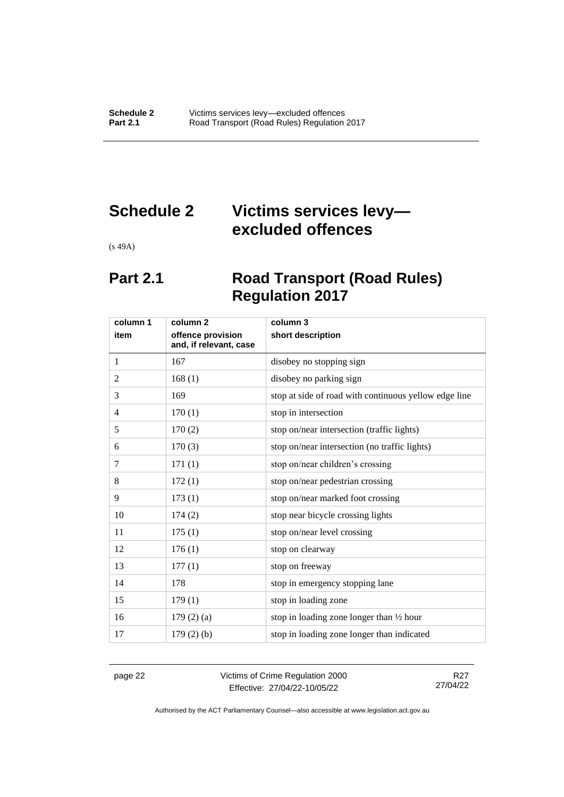# <span id="page-27-0"></span>**Schedule 2 Victims services levy excluded offences**

<span id="page-27-1"></span>(s 49A)

# **Part 2.1 Road Transport (Road Rules) Regulation 2017**

| column 1       | column 2                                    | column 3                                              |
|----------------|---------------------------------------------|-------------------------------------------------------|
| item           | offence provision<br>and, if relevant, case | short description                                     |
| 1              | 167                                         | disobey no stopping sign                              |
| 2              | 168(1)                                      | disobey no parking sign                               |
| 3              | 169                                         | stop at side of road with continuous yellow edge line |
| $\overline{4}$ | 170(1)                                      | stop in intersection                                  |
| 5              | 170(2)                                      | stop on/near intersection (traffic lights)            |
| 6              | 170(3)                                      | stop on/near intersection (no traffic lights)         |
| 7              | 171(1)                                      | stop on/near children's crossing                      |
| 8              | 172(1)                                      | stop on/near pedestrian crossing                      |
| 9              | 173(1)                                      | stop on/near marked foot crossing                     |
| 10             | 174(2)                                      | stop near bicycle crossing lights                     |
| 11             | 175(1)                                      | stop on/near level crossing                           |
| 12             | 176(1)                                      | stop on clearway                                      |
| 13             | 177(1)                                      | stop on freeway                                       |
| 14             | 178                                         | stop in emergency stopping lane                       |
| 15             | 179(1)                                      | stop in loading zone                                  |
| 16             | 179(2)(a)                                   | stop in loading zone longer than 1/2 hour             |
| 17             | $179(2)$ (b)                                | stop in loading zone longer than indicated            |

page 22 Victims of Crime Regulation 2000 Effective: 27/04/22-10/05/22

R27 27/04/22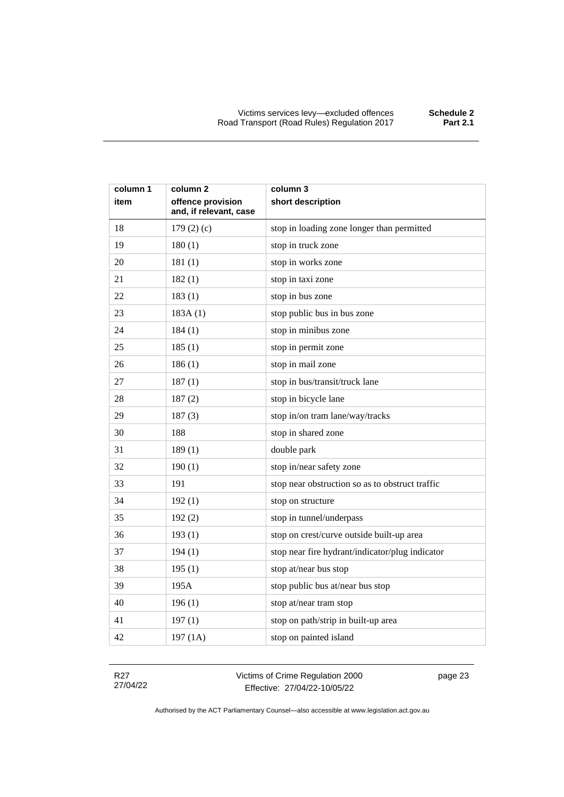| column 1<br>item | column 2<br>offence provision | column 3<br>short description                   |
|------------------|-------------------------------|-------------------------------------------------|
|                  | and, if relevant, case        |                                                 |
| 18               | 179 $(2)$ $(c)$               | stop in loading zone longer than permitted      |
| 19               | 180(1)                        | stop in truck zone                              |
| 20               | 181(1)                        | stop in works zone                              |
| 21               | 182(1)                        | stop in taxi zone                               |
| 22               | 183(1)                        | stop in bus zone                                |
| 23               | 183A(1)                       | stop public bus in bus zone                     |
| 24               | 184(1)                        | stop in minibus zone                            |
| 25               | 185(1)                        | stop in permit zone                             |
| 26               | 186(1)                        | stop in mail zone                               |
| 27               | 187(1)                        | stop in bus/transit/truck lane                  |
| 28               | 187(2)                        | stop in bicycle lane                            |
| 29               | 187(3)                        | stop in/on tram lane/way/tracks                 |
| 30               | 188                           | stop in shared zone                             |
| 31               | 189(1)                        | double park                                     |
| 32               | 190(1)                        | stop in/near safety zone                        |
| 33               | 191                           | stop near obstruction so as to obstruct traffic |
| 34               | 192(1)                        | stop on structure                               |
| 35               | 192(2)                        | stop in tunnel/underpass                        |
| 36               | 193(1)                        | stop on crest/curve outside built-up area       |
| 37               | 194(1)                        | stop near fire hydrant/indicator/plug indicator |
| 38               | 195(1)                        | stop at/near bus stop                           |
| 39               | 195A                          | stop public bus at/near bus stop                |
| 40               | 196(1)                        | stop at/near tram stop                          |
| 41               | 197(1)                        | stop on path/strip in built-up area             |
| 42               | 197 (1A)                      | stop on painted island                          |

R27 27/04/22 Victims of Crime Regulation 2000 Effective: 27/04/22-10/05/22

page 23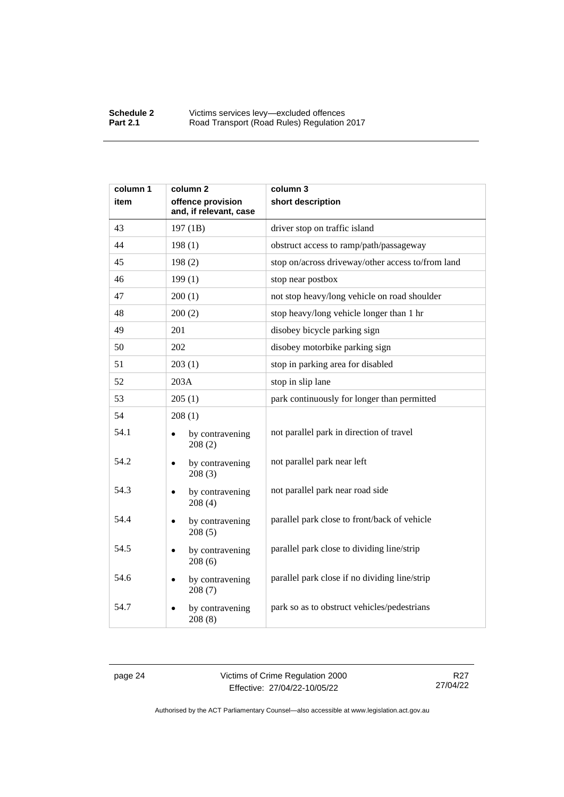| column 1 | column <sub>2</sub>                         | column 3                                          |
|----------|---------------------------------------------|---------------------------------------------------|
| item     | offence provision<br>and, if relevant, case | short description                                 |
| 43       | 197 (1B)                                    | driver stop on traffic island                     |
| 44       | 198(1)                                      | obstruct access to ramp/path/passageway           |
| 45       | 198(2)                                      | stop on/across driveway/other access to/from land |
| 46       | 199(1)                                      | stop near postbox                                 |
| 47       | 200(1)                                      | not stop heavy/long vehicle on road shoulder      |
| 48       | 200(2)                                      | stop heavy/long vehicle longer than 1 hr          |
| 49       | 201                                         | disobey bicycle parking sign                      |
| 50       | 202                                         | disobey motorbike parking sign                    |
| 51       | 203(1)                                      | stop in parking area for disabled                 |
| 52       | 203A                                        | stop in slip lane                                 |
| 53       | 205(1)                                      | park continuously for longer than permitted       |
| 54       | 208(1)                                      |                                                   |
| 54.1     | by contravening<br>208(2)                   | not parallel park in direction of travel          |
| 54.2     | by contravening<br>208(3)                   | not parallel park near left                       |
| 54.3     | by contravening<br>208(4)                   | not parallel park near road side                  |
| 54.4     | by contravening<br>$\bullet$<br>208(5)      | parallel park close to front/back of vehicle      |
| 54.5     | by contravening<br>208(6)                   | parallel park close to dividing line/strip        |
| 54.6     | by contravening<br>208(7)                   | parallel park close if no dividing line/strip     |
| 54.7     | by contravening<br>208(8)                   | park so as to obstruct vehicles/pedestrians       |

page 24 Victims of Crime Regulation 2000 Effective: 27/04/22-10/05/22

R27 27/04/22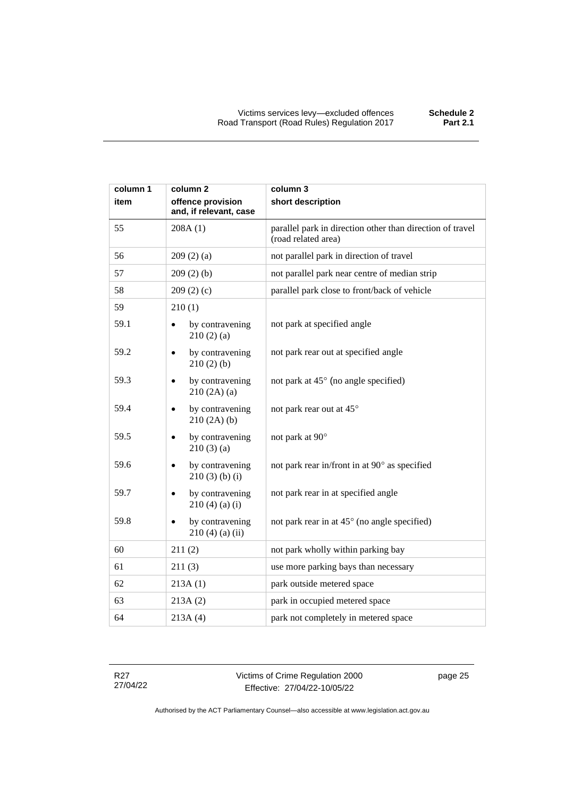| column 1 | column 2                                          | column 3                                                                         |
|----------|---------------------------------------------------|----------------------------------------------------------------------------------|
| item     | offence provision<br>and, if relevant, case       | short description                                                                |
| 55       | 208A(1)                                           | parallel park in direction other than direction of travel<br>(road related area) |
| 56       | 209(2)(a)                                         | not parallel park in direction of travel                                         |
| 57       | 209(2)(b)                                         | not parallel park near centre of median strip                                    |
| 58       | 209(2)(c)                                         | parallel park close to front/back of vehicle                                     |
| 59       | 210(1)                                            |                                                                                  |
| 59.1     | by contravening<br>$\bullet$<br>210(2)(a)         | not park at specified angle                                                      |
| 59.2     | by contravening<br>$\bullet$<br>210(2)(b)         | not park rear out at specified angle                                             |
| 59.3     | by contravening<br>$\bullet$<br>210(2A)(a)        | not park at 45° (no angle specified)                                             |
| 59.4     | by contravening<br>$\bullet$<br>210(2A)(b)        | not park rear out at 45°                                                         |
| 59.5     | by contravening<br>$\bullet$<br>210(3)(a)         | not park at 90°                                                                  |
| 59.6     | by contravening<br>$\bullet$<br>$210(3)$ (b) (i)  | not park rear in/front in at 90° as specified                                    |
| 59.7     | by contravening<br>$210(4)$ (a) (i)               | not park rear in at specified angle                                              |
| 59.8     | by contravening<br>$\bullet$<br>$210(4)$ (a) (ii) | not park rear in at 45° (no angle specified)                                     |
| 60       | 211(2)                                            | not park wholly within parking bay                                               |
| 61       | 211(3)                                            | use more parking bays than necessary                                             |
| 62       | 213A(1)                                           | park outside metered space                                                       |
| 63       | 213A(2)                                           | park in occupied metered space                                                   |
| 64       | 213A(4)                                           | park not completely in metered space                                             |

R27 27/04/22 Victims of Crime Regulation 2000 Effective: 27/04/22-10/05/22

page 25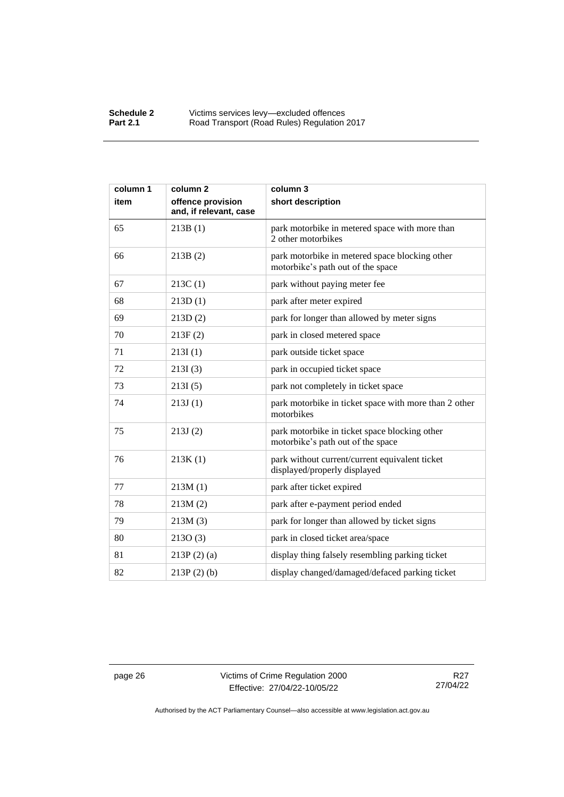| column 1 | column <sub>2</sub>                         | column 3                                                                            |
|----------|---------------------------------------------|-------------------------------------------------------------------------------------|
| item     | offence provision<br>and, if relevant, case | short description                                                                   |
| 65       | 213B(1)                                     | park motorbike in metered space with more than<br>2 other motorbikes                |
| 66       | 213B(2)                                     | park motorbike in metered space blocking other<br>motorbike's path out of the space |
| 67       | 213C(1)                                     | park without paying meter fee                                                       |
| 68       | 213D(1)                                     | park after meter expired                                                            |
| 69       | 213D(2)                                     | park for longer than allowed by meter signs                                         |
| 70       | 213F(2)                                     | park in closed metered space                                                        |
| 71       | 213I(1)                                     | park outside ticket space                                                           |
| 72       | 213I(3)                                     | park in occupied ticket space                                                       |
| 73       | 213I(5)                                     | park not completely in ticket space                                                 |
| 74       | 213J(1)                                     | park motorbike in ticket space with more than 2 other<br>motorbikes                 |
| 75       | 213J(2)                                     | park motorbike in ticket space blocking other<br>motorbike's path out of the space  |
| 76       | 213K(1)                                     | park without current/current equivalent ticket<br>displayed/properly displayed      |
| 77       | 213M(1)                                     | park after ticket expired                                                           |
| 78       | 213M(2)                                     | park after e-payment period ended                                                   |
| 79       | 213M(3)                                     | park for longer than allowed by ticket signs                                        |
| 80       | 213O(3)                                     | park in closed ticket area/space                                                    |
| 81       | $213P(2)$ (a)                               | display thing falsely resembling parking ticket                                     |
| 82       | $213P(2)$ (b)                               | display changed/damaged/defaced parking ticket                                      |

page 26 Victims of Crime Regulation 2000 Effective: 27/04/22-10/05/22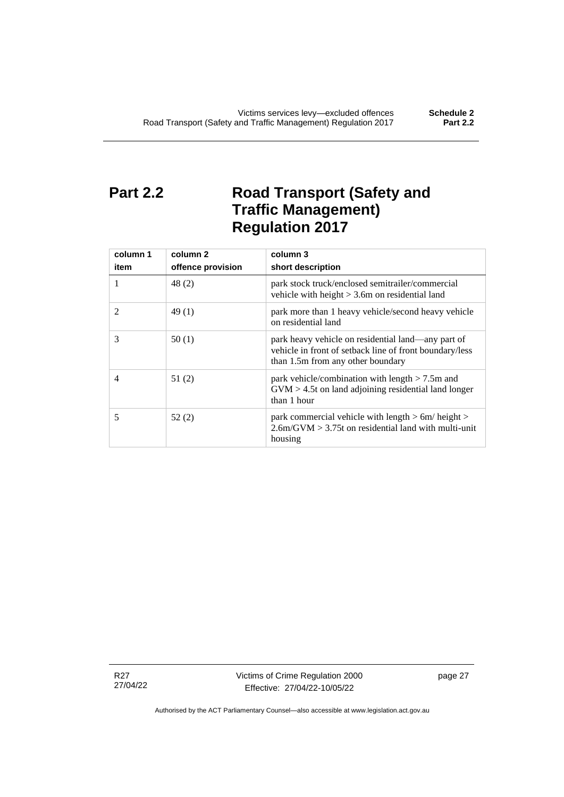# <span id="page-32-0"></span>**Part 2.2 Road Transport (Safety and Traffic Management) Regulation 2017**

| column 1<br>item | column 2<br>offence provision | column 3<br>short description                                                                                                                      |
|------------------|-------------------------------|----------------------------------------------------------------------------------------------------------------------------------------------------|
| 1                | 48 (2)                        | park stock truck/enclosed semitrailer/commercial<br>vehicle with height $> 3.6$ m on residential land                                              |
| $\mathfrak{D}$   | 49(1)                         | park more than 1 heavy vehicle/second heavy vehicle<br>on residential land                                                                         |
| 3                | 50(1)                         | park heavy vehicle on residential land—any part of<br>vehicle in front of setback line of front boundary/less<br>than 1.5m from any other boundary |
| 4                | 51(2)                         | park vehicle/combination with length $> 7.5$ m and<br>$GVM > 4.5t$ on land adjoining residential land longer<br>than 1 hour                        |
| 5                | 52(2)                         | park commercial vehicle with length $> 6m/h$ eight $>$<br>$2.6$ m/GVM $> 3.75$ t on residential land with multi-unit<br>housing                    |

R27 27/04/22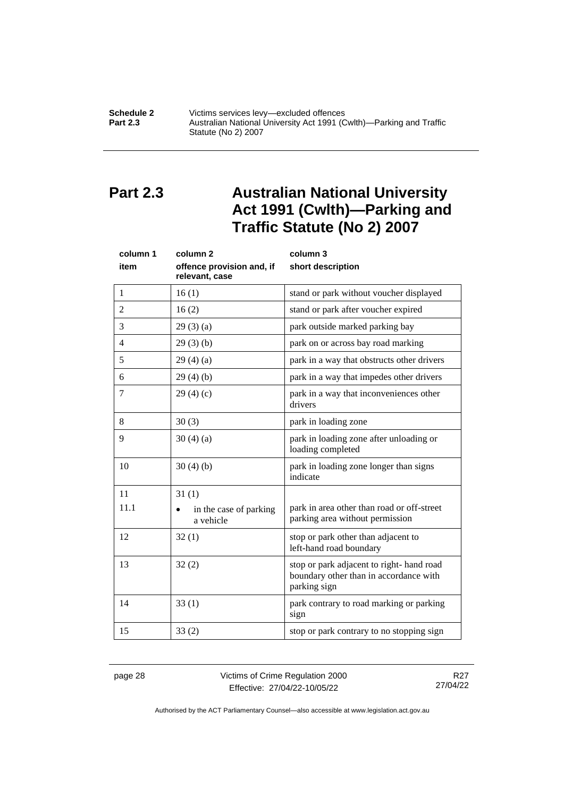#### **Schedule 2** Victims services levy—excluded offences<br>**Part 2.3** Australian National University Act 1991 (C **Part 2.3** Australian National University Act 1991 (Cwlth)—Parking and Traffic Statute (No 2) 2007

# <span id="page-33-0"></span>**Part 2.3 Australian National University Act 1991 (Cwlth)—Parking and Traffic Statute (No 2) 2007**

| column 1<br>item | column <sub>2</sub><br>offence provision and, if<br>relevant, case | column 3<br>short description                                                                      |
|------------------|--------------------------------------------------------------------|----------------------------------------------------------------------------------------------------|
| 1                | 16(1)                                                              | stand or park without voucher displayed                                                            |
| $\overline{2}$   | 16(2)                                                              | stand or park after voucher expired                                                                |
| 3                | 29(3)(a)                                                           | park outside marked parking bay                                                                    |
| $\overline{4}$   | 29(3)(b)                                                           | park on or across bay road marking                                                                 |
| 5                | 29(4)(a)                                                           | park in a way that obstructs other drivers                                                         |
| 6                | 29(4)(b)                                                           | park in a way that impedes other drivers                                                           |
| 7                | 29(4)(c)                                                           | park in a way that inconveniences other<br>drivers                                                 |
| 8                | 30(3)                                                              | park in loading zone                                                                               |
| 9                | 30(4)(a)                                                           | park in loading zone after unloading or<br>loading completed                                       |
| 10               | 30(4)(b)                                                           | park in loading zone longer than signs<br>indicate                                                 |
| 11               | 31(1)                                                              |                                                                                                    |
| 11.1             | in the case of parking<br>a vehicle                                | park in area other than road or off-street<br>parking area without permission                      |
| 12               | 32(1)                                                              | stop or park other than adjacent to<br>left-hand road boundary                                     |
| 13               | 32(2)                                                              | stop or park adjacent to right-hand road<br>boundary other than in accordance with<br>parking sign |
| 14               | 33(1)                                                              | park contrary to road marking or parking<br>sign                                                   |
| 15               | 33(2)                                                              | stop or park contrary to no stopping sign                                                          |

page 28 Victims of Crime Regulation 2000 Effective: 27/04/22-10/05/22

R27 27/04/22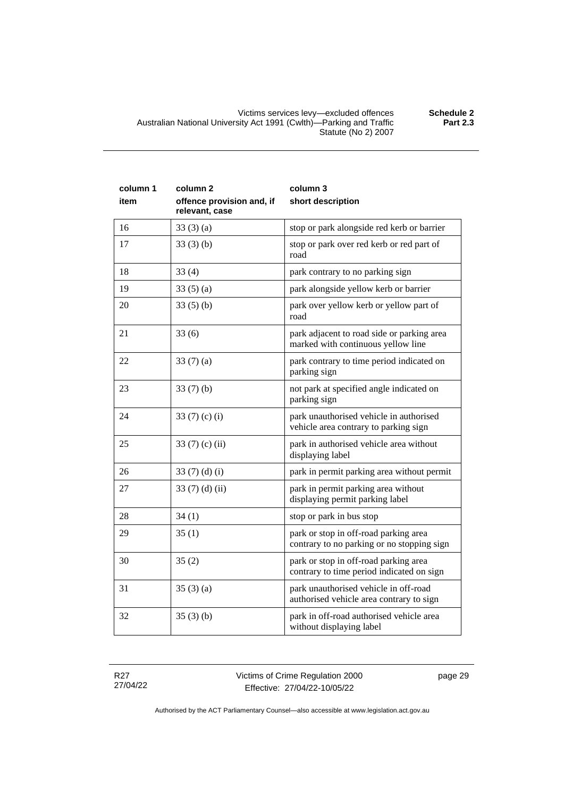| column 1<br>item | column <sub>2</sub><br>offence provision and, if | column 3<br>short description                                                    |
|------------------|--------------------------------------------------|----------------------------------------------------------------------------------|
|                  | relevant, case                                   |                                                                                  |
| 16               | 33(3)(a)                                         | stop or park alongside red kerb or barrier                                       |
| 17               | 33(3)(b)                                         | stop or park over red kerb or red part of<br>road                                |
| 18               | 33(4)                                            | park contrary to no parking sign                                                 |
| 19               | 33(5)(a)                                         | park alongside yellow kerb or barrier                                            |
| 20               | 33(5)(b)                                         | park over yellow kerb or yellow part of<br>road                                  |
| 21               | 33(6)                                            | park adjacent to road side or parking area<br>marked with continuous yellow line |
| 22               | 33(7)(a)                                         | park contrary to time period indicated on<br>parking sign                        |
| 23               | 33(7)(b)                                         | not park at specified angle indicated on<br>parking sign                         |
| 24               | 33 $(7)$ $(c)$ $(i)$                             | park unauthorised vehicle in authorised<br>vehicle area contrary to parking sign |
| 25               | 33 $(7)$ $(c)$ $(ii)$                            | park in authorised vehicle area without<br>displaying label                      |
| 26               | 33 $(7)$ $(d)$ $(i)$                             | park in permit parking area without permit                                       |
| 27               | 33 $(7)$ $(d)$ $(ii)$                            | park in permit parking area without<br>displaying permit parking label           |
| 28               | 34(1)                                            | stop or park in bus stop                                                         |

contrary to no parking or no stopping sign

contrary to time period indicated on sign

authorised vehicle area contrary to sign

without displaying label

R27 27/04/22

29  $\begin{array}{|l|l|} 25 (1) \end{array}$  park or stop in off-road parking area

30 35 (2) park or stop in off-road parking area

31 35 (3) (a) park unauthorised vehicle in off-road

 $32$   $35$  (3) (b) park in off-road authorised vehicle area

page 29

Authorised by the ACT Parliamentary Counsel—also accessible at www.legislation.act.gov.au

**Part 2.3**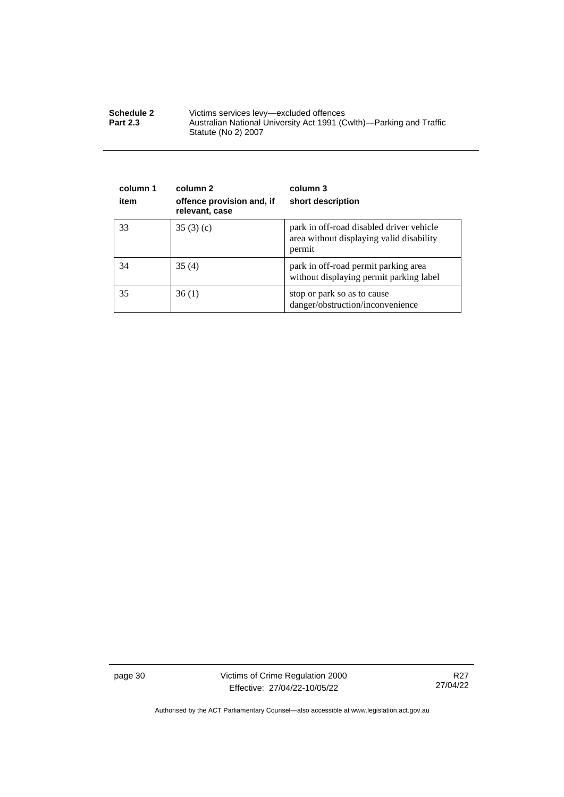| <b>Schedule 2</b> | Victims services levy—excluded offences                                                    |
|-------------------|--------------------------------------------------------------------------------------------|
| <b>Part 2.3</b>   | Australian National University Act 1991 (Cwlth)—Parking and Traffic<br>Statute (No 2) 2007 |

| column 1<br>item | column 2<br>offence provision and, if<br>relevant, case | column 3<br>short description                                                                  |
|------------------|---------------------------------------------------------|------------------------------------------------------------------------------------------------|
| 33               | 35(3)(c)                                                | park in off-road disabled driver vehicle<br>area without displaying valid disability<br>permit |
| 34               | 35(4)                                                   | park in off-road permit parking area<br>without displaying permit parking label                |
| 35               | 36(1)                                                   | stop or park so as to cause<br>danger/obstruction/inconvenience                                |

page 30 Victims of Crime Regulation 2000 Effective: 27/04/22-10/05/22

R27 27/04/22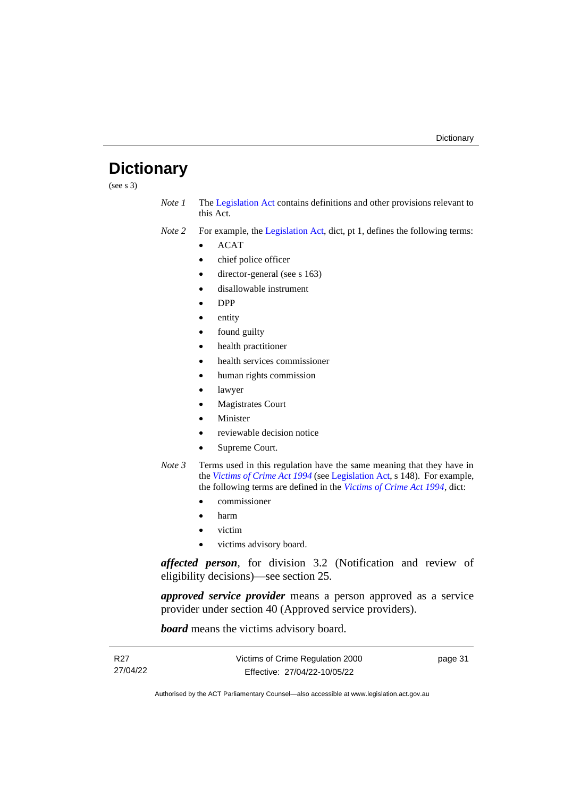# <span id="page-36-0"></span>**Dictionary**

(see s 3)

*Note 1* The [Legislation Act](http://www.legislation.act.gov.au/a/2001-14) contains definitions and other provisions relevant to this Act.

*Note 2* For example, the [Legislation Act,](http://www.legislation.act.gov.au/a/2001-14) dict, pt 1, defines the following terms:

- ACAT
- chief police officer
- director-general (see s 163)
- disallowable instrument
- DPP
- entity
- found guilty
- health practitioner
- health services commissioner
- human rights commission
- lawyer
- Magistrates Court
- **Minister**
- reviewable decision notice
- Supreme Court.
- *Note 3* Terms used in this regulation have the same meaning that they have in the *[Victims of Crime Act 1994](http://www.legislation.act.gov.au/a/1994-83)* (see [Legislation Act,](http://www.legislation.act.gov.au/a/2001-14) s 148). For example, the following terms are defined in the *[Victims of Crime Act 1994](http://www.legislation.act.gov.au/a/1994-83)*, dict:
	- commissioner
	- harm
	- victim
	- victims advisory board.

*affected person*, for division 3.2 (Notification and review of eligibility decisions)—see section 25.

*approved service provider* means a person approved as a service provider under section 40 (Approved service providers).

*board* means the victims advisory board.

| R27      | Victims of Crime Regulation 2000 | page 31 |
|----------|----------------------------------|---------|
| 27/04/22 | Effective: 27/04/22-10/05/22     |         |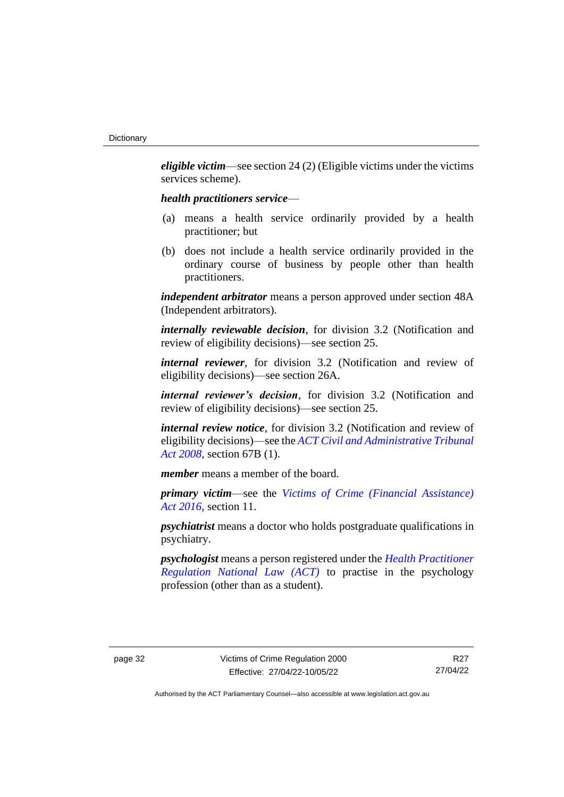*eligible victim*—see section 24 (2) (Eligible victims under the victims services scheme).

#### *health practitioners service*—

- (a) means a health service ordinarily provided by a health practitioner; but
- (b) does not include a health service ordinarily provided in the ordinary course of business by people other than health practitioners.

*independent arbitrator* means a person approved under section 48A (Independent arbitrators).

*internally reviewable decision*, for division 3.2 (Notification and review of eligibility decisions)—see section 25.

*internal reviewer*, for division 3.2 (Notification and review of eligibility decisions)—see section 26A.

*internal reviewer's decision*, for division 3.2 (Notification and review of eligibility decisions)—see section 25.

*internal review notice*, for division 3.2 (Notification and review of eligibility decisions)—see the *[ACT Civil and Administrative Tribunal](http://www.legislation.act.gov.au/a/2008-35)  [Act 2008](http://www.legislation.act.gov.au/a/2008-35)*, section 67B (1).

*member* means a member of the board.

*primary victim*—see the *[Victims of Crime \(Financial Assistance\)](http://www.legislation.act.gov.au/a/2016-12/default.asp)  Act [2016](http://www.legislation.act.gov.au/a/2016-12/default.asp)*, section 11.

*psychiatrist* means a doctor who holds postgraduate qualifications in psychiatry.

*psychologist* means a person registered under the *[Health Practitioner](http://www.legislation.act.gov.au/a/db_39269/default.asp)  [Regulation National Law \(ACT\)](http://www.legislation.act.gov.au/a/db_39269/default.asp)* to practise in the psychology profession (other than as a student).

R27 27/04/22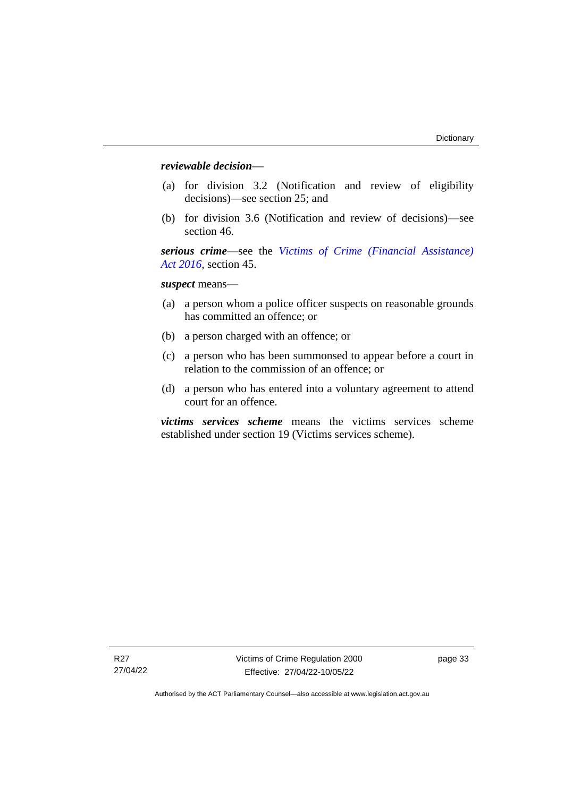### *reviewable decision—*

- (a) for division 3.2 (Notification and review of eligibility decisions)—see section 25; and
- (b) for division 3.6 (Notification and review of decisions)—see section 46.

*serious crime*—see the *[Victims of Crime \(Financial Assistance\)](http://www.legislation.act.gov.au/a/2016-12/default.asp)  Act [2016](http://www.legislation.act.gov.au/a/2016-12/default.asp)*, section 45.

*suspect* means—

- (a) a person whom a police officer suspects on reasonable grounds has committed an offence; or
- (b) a person charged with an offence; or
- (c) a person who has been summonsed to appear before a court in relation to the commission of an offence; or
- (d) a person who has entered into a voluntary agreement to attend court for an offence.

*victims services scheme* means the victims services scheme established under section 19 (Victims services scheme).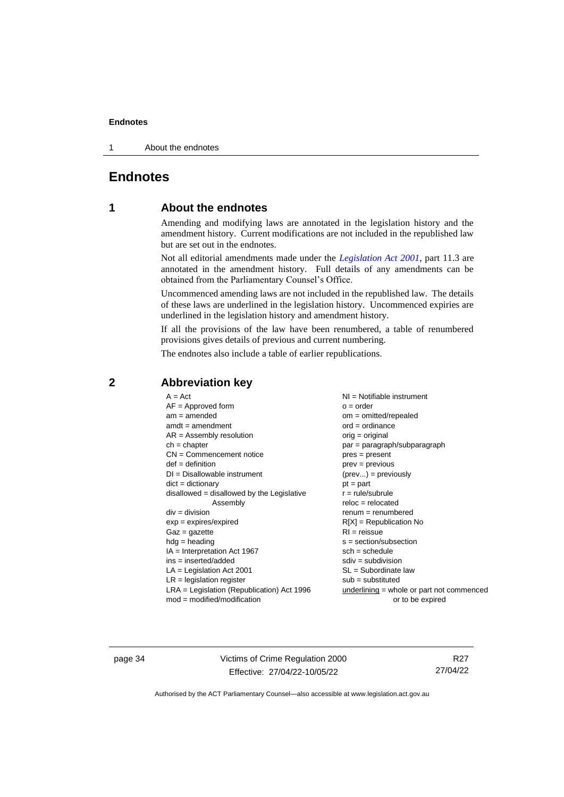1 About the endnotes

# <span id="page-39-1"></span><span id="page-39-0"></span>**Endnotes**

# **1 About the endnotes**

Amending and modifying laws are annotated in the legislation history and the amendment history. Current modifications are not included in the republished law but are set out in the endnotes.

Not all editorial amendments made under the *[Legislation Act 2001](http://www.legislation.act.gov.au/a/2001-14)*, part 11.3 are annotated in the amendment history. Full details of any amendments can be obtained from the Parliamentary Counsel's Office.

Uncommenced amending laws are not included in the republished law. The details of these laws are underlined in the legislation history. Uncommenced expiries are underlined in the legislation history and amendment history.

If all the provisions of the law have been renumbered, a table of renumbered provisions gives details of previous and current numbering.

The endnotes also include a table of earlier republications.

| $A = Act$                                    | $NI =$ Notifiable instrument                |
|----------------------------------------------|---------------------------------------------|
| $AF =$ Approved form                         | $o = order$                                 |
|                                              |                                             |
| $am = amended$                               | $om = omitted/repealed$                     |
| $amdt = amendment$                           | $ord = ordinance$                           |
| $AR = Assembly resolution$                   | $orig = original$                           |
| $ch = chapter$                               | par = paragraph/subparagraph                |
| $CN =$ Commencement notice                   | $pres = present$                            |
| $def = definition$                           | $prev = previous$                           |
| $DI = Disallowable instrument$               | $(\text{prev}) = \text{previously}$         |
| $dict = dictionary$                          | $pt = part$                                 |
| $disallowed = disallowed by the Legislative$ | $r = rule/subrule$                          |
| Assembly                                     | $reloc = relocated$                         |
| $div = division$                             | $renum = renumbered$                        |
| $exp = expires/expired$                      | $R[X]$ = Republication No                   |
| $Gaz = gazette$                              | $RI = reissue$                              |
| $h dq =$ heading                             | $s = section/subsection$                    |
| $IA = Interpretation Act 1967$               | $sch = schedule$                            |
| ins = inserted/added                         | $sdiv = subdivision$                        |
| $LA =$ Legislation Act 2001                  | $SL = Subordinate$ law                      |
| $LR =$ legislation register                  | $sub =$ substituted                         |
| $LRA =$ Legislation (Republication) Act 1996 | $underlining = whole or part not commenced$ |
| $mod = modified/modification$                | or to be expired                            |
|                                              |                                             |

# <span id="page-39-2"></span>**2 Abbreviation key**

page 34 Victims of Crime Regulation 2000 Effective: 27/04/22-10/05/22

R27 27/04/22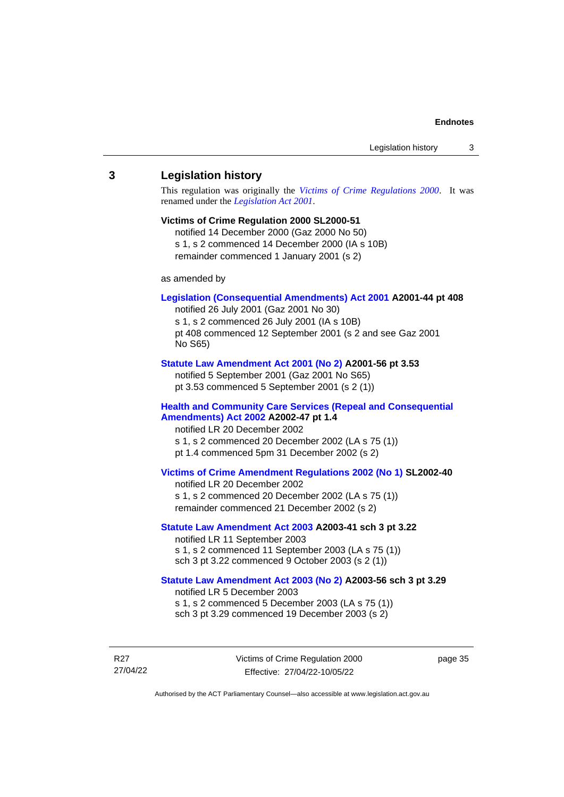#### <span id="page-40-0"></span>**3 Legislation history**

This regulation was originally the *[Victims of Crime Regulations 2000](http://www.legislation.act.gov.au/sl/2000-51)*. It was renamed under the *[Legislation Act 2001](http://www.legislation.act.gov.au/a/2001-14)*.

#### **Victims of Crime Regulation 2000 SL2000-51**

notified 14 December 2000 (Gaz 2000 No 50) s 1, s 2 commenced 14 December 2000 (IA s 10B) remainder commenced 1 January 2001 (s 2)

as amended by

#### **[Legislation \(Consequential Amendments\) Act 2001](http://www.legislation.act.gov.au/a/2001-44) A2001-44 pt 408**

notified 26 July 2001 (Gaz 2001 No 30) s 1, s 2 commenced 26 July 2001 (IA s 10B) pt 408 commenced 12 September 2001 (s 2 and see Gaz 2001 No S65)

#### **[Statute Law Amendment Act 2001 \(No 2\)](http://www.legislation.act.gov.au/a/2001-56) A2001-56 pt 3.53**

notified 5 September 2001 (Gaz 2001 No S65) pt 3.53 commenced 5 September 2001 (s 2 (1))

#### **[Health and Community Care Services \(Repeal and Consequential](http://www.legislation.act.gov.au/a/2002-47)  [Amendments\) Act 2002](http://www.legislation.act.gov.au/a/2002-47) A2002-47 pt 1.4**

notified LR 20 December 2002 s 1, s 2 commenced 20 December 2002 (LA s 75 (1)) pt 1.4 commenced 5pm 31 December 2002 (s 2)

#### **[Victims of Crime Amendment Regulations 2002 \(No 1\)](http://www.legislation.act.gov.au/sl/2002-40) SL2002-40**

notified LR 20 December 2002 s 1, s 2 commenced 20 December 2002 (LA s 75 (1)) remainder commenced 21 December 2002 (s 2)

#### **[Statute Law Amendment Act 2003](http://www.legislation.act.gov.au/a/2003-41) A2003-41 sch 3 pt 3.22**

notified LR 11 September 2003 s 1, s 2 commenced 11 September 2003 (LA s 75 (1)) sch 3 pt 3.22 commenced 9 October 2003 (s 2 (1))

#### **[Statute Law Amendment Act 2003 \(No 2\)](http://www.legislation.act.gov.au/a/2003-56) A2003-56 sch 3 pt 3.29** notified LR 5 December 2003 s 1, s 2 commenced 5 December 2003 (LA s 75 (1))

sch 3 pt 3.29 commenced 19 December 2003 (s 2)

R27 27/04/22 Victims of Crime Regulation 2000 Effective: 27/04/22-10/05/22

page 35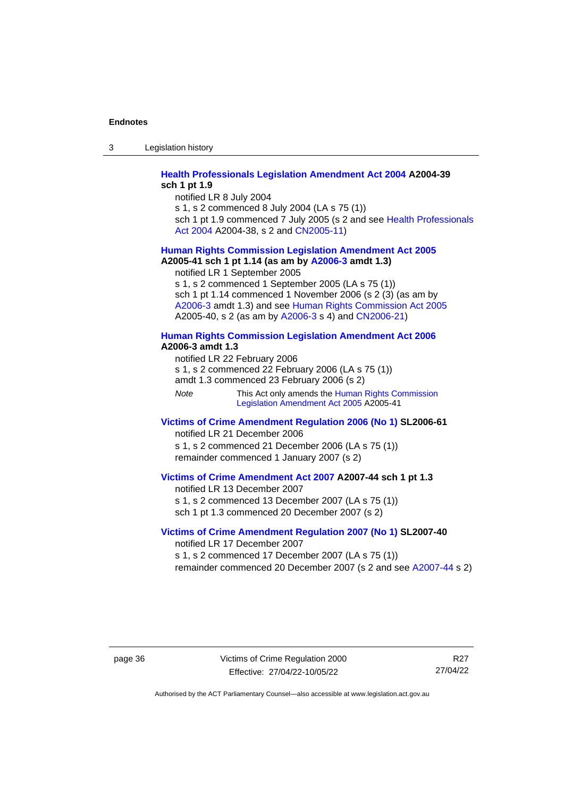3 Legislation history

#### **[Health Professionals Legislation Amendment Act 2004](http://www.legislation.act.gov.au/a/2004-39) A2004-39 sch 1 pt 1.9**

notified LR 8 July 2004

s 1, s 2 commenced 8 July 2004 (LA s 75 (1))

sch 1 pt 1.9 commenced 7 July 2005 (s 2 and see Health Professionals [Act 2004](http://www.legislation.act.gov.au/a/2004-38) A2004-38, s 2 and [CN2005-11\)](http://www.legislation.act.gov.au/cn/2005-11/default.asp)

# **[Human Rights Commission Legislation Amendment Act](http://www.legislation.act.gov.au/a/2005-41) 2005**

**A2005-41 sch 1 pt 1.14 (as am by [A2006-3](http://www.legislation.act.gov.au/a/2006-3) amdt 1.3)** notified LR 1 September 2005

s 1, s 2 commenced 1 September 2005 (LA s 75 (1)) sch 1 pt 1.14 commenced 1 November 2006 (s 2 (3) (as am by [A2006-3](http://www.legislation.act.gov.au/a/2006-3) amdt 1.3) and see [Human Rights Commission Act 2005](http://www.legislation.act.gov.au/a/2005-40) A2005-40, s 2 (as am by [A2006-3](http://www.legislation.act.gov.au/a/2006-3) s 4) and [CN2006-21\)](http://www.legislation.act.gov.au/cn/2006-21/default.asp)

#### **[Human Rights Commission Legislation Amendment Act 2006](http://www.legislation.act.gov.au/a/2006-3) A2006-3 amdt 1.3**

notified LR 22 February 2006 s 1, s 2 commenced 22 February 2006 (LA s 75 (1)) amdt 1.3 commenced 23 February 2006 (s 2)

*Note* This Act only amends th[e Human Rights Commission](http://www.legislation.act.gov.au/a/2005-41)  [Legislation Amendment Act](http://www.legislation.act.gov.au/a/2005-41) 2005 A2005-41

#### **[Victims of Crime Amendment Regulation](http://www.legislation.act.gov.au/sl/2006-61) 2006 (No 1) SL2006-61** notified LR 21 December 2006

s 1, s 2 commenced 21 December 2006 (LA s 75 (1)) remainder commenced 1 January 2007 (s 2)

#### **[Victims of Crime Amendment Act 2007](http://www.legislation.act.gov.au/a/2007-44) A2007-44 sch 1 pt 1.3**

notified LR 13 December 2007 s 1, s 2 commenced 13 December 2007 (LA s 75 (1)) sch 1 pt 1.3 commenced 20 December 2007 (s 2)

#### **Victims of Crime [Amendment Regulation](http://www.legislation.act.gov.au/sl/2007-40) 2007 (No 1) SL2007-40** notified LR 17 December 2007

s 1, s 2 commenced 17 December 2007 (LA s 75 (1))

remainder commenced 20 December 2007 (s 2 and see [A2007-44](http://www.legislation.act.gov.au/a/2007-44) s 2)

page 36 Victims of Crime Regulation 2000 Effective: 27/04/22-10/05/22

R27 27/04/22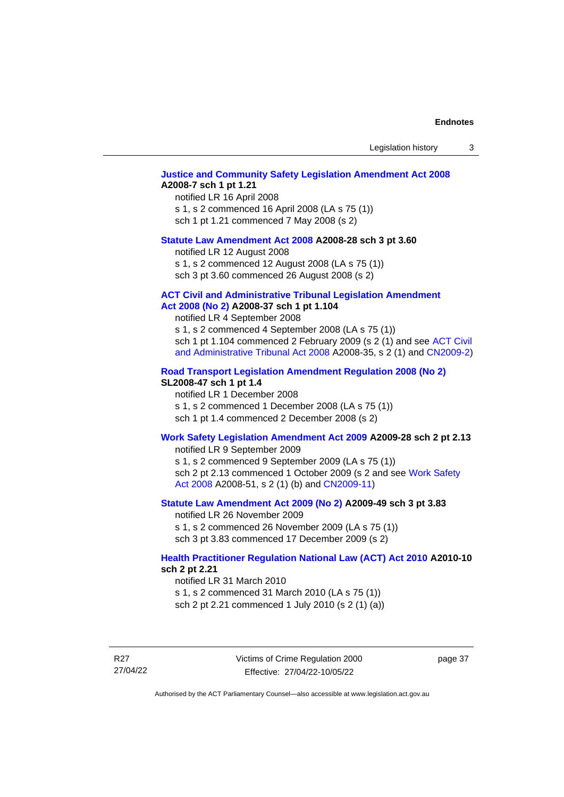Legislation history 3

#### **[Justice and Community Safety Legislation Amendment Act 2008](http://www.legislation.act.gov.au/a/2008-7) A2008-7 sch 1 pt 1.21**

notified LR 16 April 2008 s 1, s 2 commenced 16 April 2008 (LA s 75 (1)) sch 1 pt 1.21 commenced 7 May 2008 (s 2)

#### **[Statute Law Amendment Act 2008](http://www.legislation.act.gov.au/a/2008-28) A2008-28 sch 3 pt 3.60**

notified LR 12 August 2008 s 1, s 2 commenced 12 August 2008 (LA s 75 (1)) sch 3 pt 3.60 commenced 26 August 2008 (s 2)

#### **[ACT Civil and Administrative Tribunal Legislation Amendment](http://www.legislation.act.gov.au/a/2008-37)**

### **Act [2008 \(No](http://www.legislation.act.gov.au/a/2008-37) 2) A2008-37 sch 1 pt 1.104**

notified LR 4 September 2008

s 1, s 2 commenced 4 September 2008 (LA s 75 (1)) sch 1 pt 1.104 commenced 2 February 2009 (s 2 (1) and see [ACT Civil](http://www.legislation.act.gov.au/a/2008-35)  [and Administrative Tribunal Act 2008](http://www.legislation.act.gov.au/a/2008-35) A2008-35, s 2 (1) and [CN2009-2\)](http://www.legislation.act.gov.au/cn/2009-2/default.asp)

#### **[Road Transport Legislation Amendment Regulation 2008 \(No 2\)](http://www.legislation.act.gov.au/sl/2008-47)**

#### **SL2008-47 sch 1 pt 1.4**

notified LR 1 December 2008 s 1, s 2 commenced 1 December 2008 (LA s 75 (1)) sch 1 pt 1.4 commenced 2 December 2008 (s 2)

#### **[Work Safety Legislation Amendment Act 2009](http://www.legislation.act.gov.au/a/2009-28) A2009-28 sch 2 pt 2.13**

notified LR 9 September 2009

s 1, s 2 commenced 9 September 2009 (LA s 75 (1)) sch 2 pt 2.13 commenced 1 October 2009 (s 2 and see Work Safety [Act 2008](http://www.legislation.act.gov.au/a/2008-51) A2008-51, s 2 (1) (b) and [CN2009-11\)](http://www.legislation.act.gov.au/cn/2009-11/default.asp)

#### **[Statute Law Amendment Act 2009 \(No 2\)](http://www.legislation.act.gov.au/a/2009-49) A2009-49 sch 3 pt 3.83**

notified LR 26 November 2009 s 1, s 2 commenced 26 November 2009 (LA s 75 (1)) sch 3 pt 3.83 commenced 17 December 2009 (s 2)

#### **[Health Practitioner Regulation National Law \(ACT\) Act 2010](http://www.legislation.act.gov.au/a/2010-10) A2010-10 sch 2 pt 2.21**

notified LR 31 March 2010

s 1, s 2 commenced 31 March 2010 (LA s 75 (1)) sch 2 pt 2.21 commenced 1 July 2010 (s 2 (1) (a))

R27 27/04/22 page 37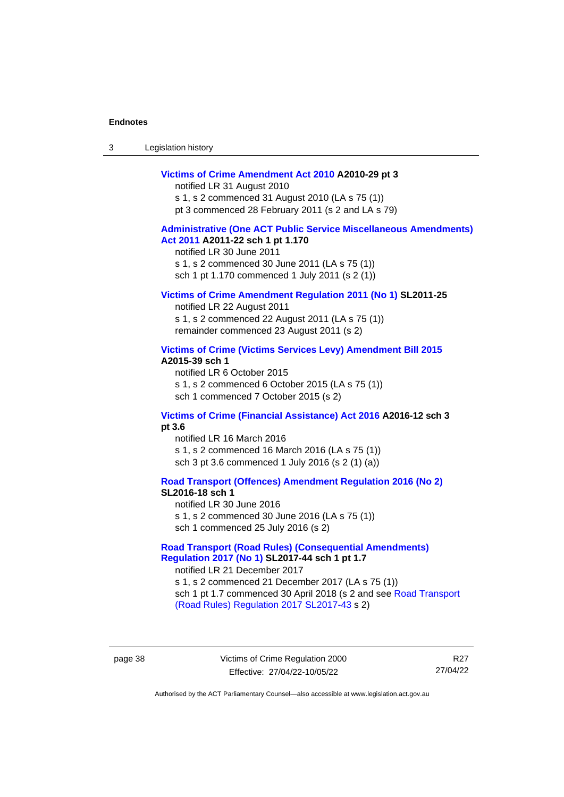| Legislation history<br>-3 |  |
|---------------------------|--|
|---------------------------|--|

#### **[Victims of Crime Amendment Act 2010](http://www.legislation.act.gov.au/a/2010-29) A2010-29 pt 3**

notified LR 31 August 2010 s 1, s 2 commenced 31 August 2010 (LA s 75 (1)) pt 3 commenced 28 February 2011 (s 2 and LA s 79)

#### **[Administrative \(One ACT Public Service Miscellaneous Amendments\)](http://www.legislation.act.gov.au/a/2011-22)  Act [2011](http://www.legislation.act.gov.au/a/2011-22) A2011-22 sch 1 pt 1.170**

notified LR 30 June 2011 s 1, s 2 commenced 30 June 2011 (LA s 75 (1)) sch 1 pt 1.170 commenced 1 July 2011 (s 2 (1))

#### **[Victims of Crime Amendment Regulation](http://www.legislation.act.gov.au/sl/2011-25) 2011 (No 1) SL2011-25**

notified LR 22 August 2011 s 1, s 2 commenced 22 August 2011 (LA s 75 (1)) remainder commenced 23 August 2011 (s 2)

#### **[Victims of Crime \(Victims Services Levy\) Amendment Bill 2015](http://www.legislation.act.gov.au/a/2015-39) A2015-39 sch 1**

notified LR 6 October 2015 s 1, s 2 commenced 6 October 2015 (LA s 75 (1)) sch 1 commenced 7 October 2015 (s 2)

#### **[Victims of Crime \(Financial Assistance\) Act 2016](http://www.legislation.act.gov.au/a/2016-12/default.asp) A2016-12 sch 3 pt 3.6**

notified LR 16 March 2016 s 1, s 2 commenced 16 March 2016 (LA s 75 (1)) sch 3 pt 3.6 commenced 1 July 2016 (s 2 (1) (a))

**[Road Transport \(Offences\) Amendment Regulation 2016 \(No 2\)](http://www.legislation.act.gov.au/sl/2016-18) SL2016-18 sch 1**

notified LR 30 June 2016

s 1, s 2 commenced 30 June 2016 (LA s 75 (1)) sch 1 commenced 25 July 2016 (s 2)

#### **[Road Transport \(Road Rules\) \(Consequential Amendments\)](http://www.legislation.act.gov.au/sl/2017-44/default.asp)  Regulation [2017 \(No 1\)](http://www.legislation.act.gov.au/sl/2017-44/default.asp) SL2017-44 sch 1 pt 1.7**

notified LR 21 December 2017 s 1, s 2 commenced 21 December 2017 (LA s 75 (1)) sch 1 pt 1.7 commenced 30 April 2018 (s 2 and see [Road Transport](http://www.legislation.act.gov.au/sl/2017-43/default.asp)  [\(Road Rules\) Regulation 2017](http://www.legislation.act.gov.au/sl/2017-43/default.asp) SL2017-43 s 2)

page 38 Victims of Crime Regulation 2000 Effective: 27/04/22-10/05/22

R27 27/04/22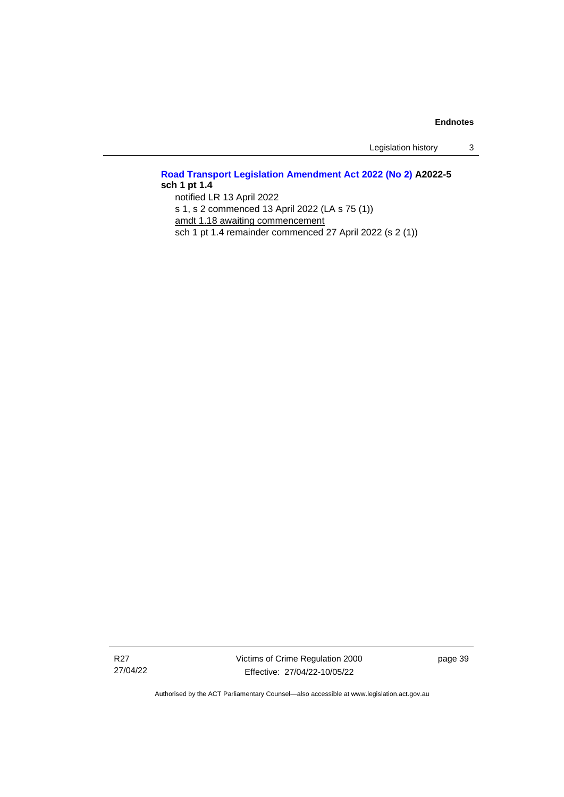Legislation history 3

### **[Road Transport Legislation Amendment Act 2022 \(No 2\)](http://www.legislation.act.gov.au/a/2022-5) A2022-5 sch 1 pt 1.4** notified LR 13 April 2022 s 1, s 2 commenced 13 April 2022 (LA s 75 (1))

amdt 1.18 awaiting commencement

sch 1 pt 1.4 remainder commenced 27 April 2022 (s 2 (1))

R27 27/04/22 Victims of Crime Regulation 2000 Effective: 27/04/22-10/05/22

page 39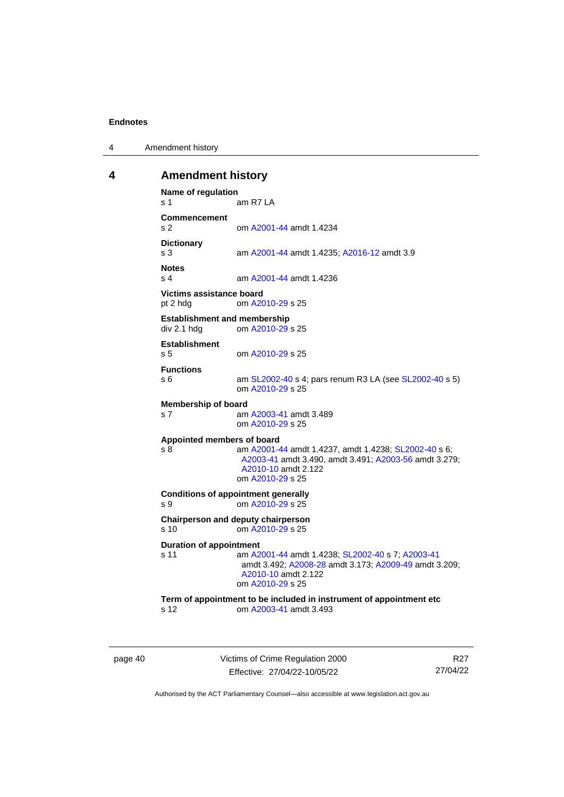4 Amendment history

#### <span id="page-45-0"></span>**4 Amendment history**

```
Name of regulation
s 1 am R7 LA
Commencement
s 2 om A2001-44 amdt 1.4234
Dictionary
                s 3 am A2001-44 amdt 1.4235; A2016-12 amdt 3.9
Notes
s 4 am A2001-44 amdt 1.4236
Victims assistance board
pt 2 hdg om A2010-29 s 25
Establishment and membership<br>div 2.1 hdd om A2010-29
                A2010-29 s 25
Establishment
s 5 om A2010-29 s 25
Functions
s 6 am SL2002-40 s 4; pars renum R3 LA (see SL2002-40 s 5)
               om A2010-29 s 25
Membership of board
s 7 am A2003-41 amdt 3.489
               om A2010-29 s 25
Appointed members of board
s 8 am A2001-44 amdt 1.4237, amdt 1.4238; SL2002-40 s 6; 
                A2003-41 amdt 3.490, amdt 3.491; A2003-56 amdt 3.279; 
                A2010-10 amdt 2.122
                om A2010-29 s 25
Conditions of appointment generally
s 9 om A2010-29 s 25
Chairperson and deputy chairperson
s 10 om A2010-29 s 25
Duration of appointment
s 11 am A2001-44 amdt 1.4238; SL2002-40 s 7; A2003-41
                amdt 3.492; A2008-28 amdt 3.173; A2009-49 amdt 3.209; 
                A2010-10 amdt 2.122
                om A2010-29 s 25
Term of appointment to be included in instrument of appointment etc
s 12 om A2003-41 amdt 3.493
```
page 40 Victims of Crime Regulation 2000 Effective: 27/04/22-10/05/22

R27 27/04/22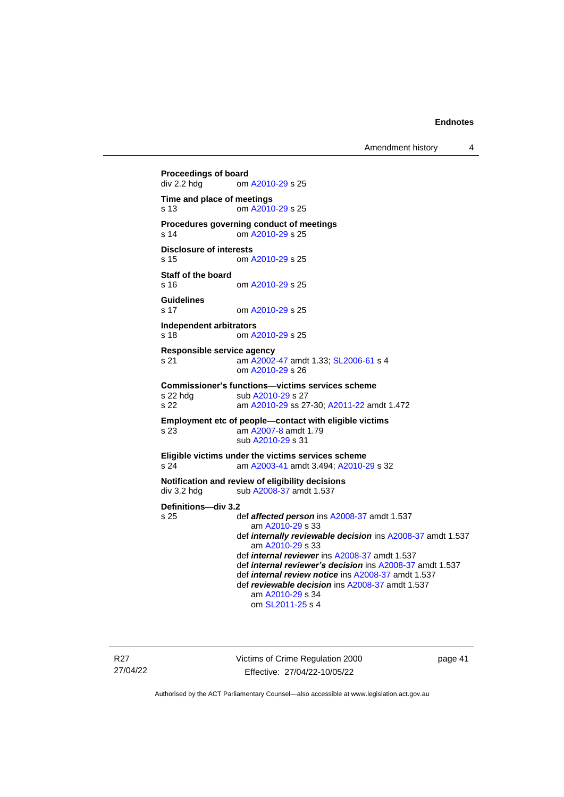Amendment history 4

```
Proceedings of board<br>div 2.2 hdg om
                 A2010-29 s 25
Time and place of meetings
s 13 om A2010-29 s 25
Procedures governing conduct of meetings
s 14 om A2010-29 s 25
Disclosure of interests
s 15 om A2010-29 s 25
Staff of the board
s 16 om A2010-29 s 25
Guidelines
s 17 om A2010-29 s 25
Independent arbitrators<br>s 18 cm A
                 A2010-29 s 25
Responsible service agency
s 21 am A2002-47 amdt 1.33; SL2006-61 s 4
                om A2010-29 s 26
Commissioner's functions—victims services scheme
 A2010-29 s 27
s 22 am A2010-29 ss 27-30; A2011-22 amdt 1.472
Employment etc of people—contact with eligible victims
s 23 am A2007-8 amdt 1.79
                sub A2010-29 s 31
Eligible victims under the victims services scheme
s 24 am A2003-41 amdt 3.494; A2010-29 s 32
Notification and review of eligibility decisions
 A2008-37 amdt 1.537
Definitions—div 3.2
                def affected persons A2008-37 amdt 1.537
                   am A2010-29 s 33
                def internally reviewable decision ins A2008-37 amdt 1.537
                   am A2010-29 s 33
                def internal reviewer ins A2008-37 amdt 1.537
                def internal reviewer's decision ins A2008-37 amdt 1.537
                def internal review notice ins A2008-37 amdt 1.537
                def reviewable decision ins A2008-37 amdt 1.537
                   am A2010-29 s 34
                   om SL2011-25 s 4
```
R27 27/04/22 Victims of Crime Regulation 2000 Effective: 27/04/22-10/05/22

page 41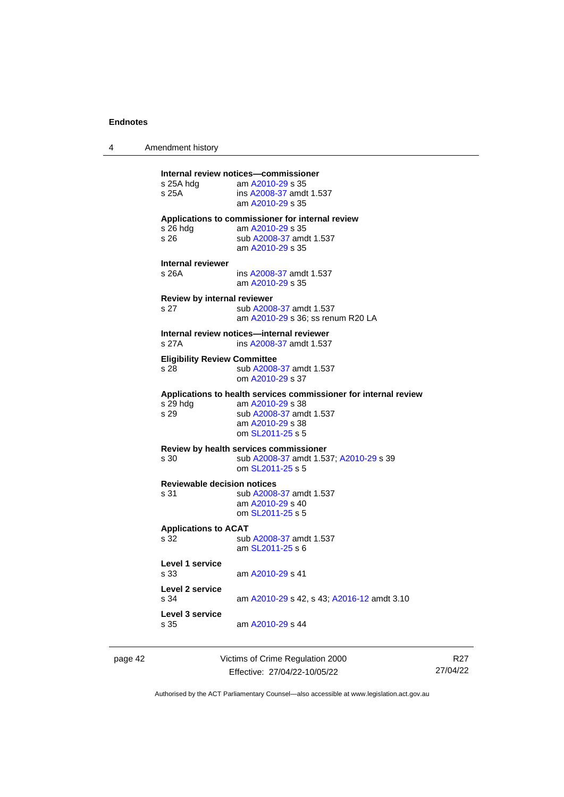4 Amendment history

| Applications to commissioner for internal review<br>s 26 hdg<br>am A2010-29 s 35<br>s 26<br>sub A2008-37 amdt 1.537<br>am A2010-29 s 35<br>Internal reviewer<br>s 26A<br>ins A2008-37 amdt 1.537<br>am A2010-29 s 35<br>Review by internal reviewer<br>sub A2008-37 amdt 1.537<br>s 27<br>am A2010-29 s 36; ss renum R20 LA<br>Internal review notices-internal reviewer<br>s 27A<br>ins A2008-37 amdt 1.537<br><b>Eligibility Review Committee</b><br>sub A2008-37 amdt 1.537<br>s 28<br>om A2010-29 s 37<br>Applications to health services commissioner for internal review<br>am A2010-29 s 38<br>s 29 hdg<br>s 29<br>sub A2008-37 amdt 1.537<br>am A2010-29 s 38<br>om SL2011-25 s 5<br>Review by health services commissioner<br>s 30<br>sub A2008-37 amdt 1.537; A2010-29 s 39<br>om SL2011-25 s 5<br><b>Reviewable decision notices</b><br>s 31<br>sub A2008-37 amdt 1.537<br>am A2010-29 s 40<br>om SL2011-25 s 5<br><b>Applications to ACAT</b><br>s 32<br>sub A2008-37 amdt 1.537<br>am SL2011-25 s 6<br>Level 1 service<br>s 33<br>am A2010-29 s 41<br>Level 2 service<br>s 34<br>am A2010-29 s 42, s 43; A2016-12 amdt 3.10<br>Level 3 service<br>s 35<br>am A2010-29 s 44 | s 25A hdg<br>s 25A | am A2010-29 s 35<br>ins A2008-37 amdt 1.537<br>am A2010-29 s 35 |
|-----------------------------------------------------------------------------------------------------------------------------------------------------------------------------------------------------------------------------------------------------------------------------------------------------------------------------------------------------------------------------------------------------------------------------------------------------------------------------------------------------------------------------------------------------------------------------------------------------------------------------------------------------------------------------------------------------------------------------------------------------------------------------------------------------------------------------------------------------------------------------------------------------------------------------------------------------------------------------------------------------------------------------------------------------------------------------------------------------------------------------------------------------------------------------------------|--------------------|-----------------------------------------------------------------|
|                                                                                                                                                                                                                                                                                                                                                                                                                                                                                                                                                                                                                                                                                                                                                                                                                                                                                                                                                                                                                                                                                                                                                                                         |                    |                                                                 |
|                                                                                                                                                                                                                                                                                                                                                                                                                                                                                                                                                                                                                                                                                                                                                                                                                                                                                                                                                                                                                                                                                                                                                                                         |                    |                                                                 |
|                                                                                                                                                                                                                                                                                                                                                                                                                                                                                                                                                                                                                                                                                                                                                                                                                                                                                                                                                                                                                                                                                                                                                                                         |                    |                                                                 |
|                                                                                                                                                                                                                                                                                                                                                                                                                                                                                                                                                                                                                                                                                                                                                                                                                                                                                                                                                                                                                                                                                                                                                                                         |                    |                                                                 |
|                                                                                                                                                                                                                                                                                                                                                                                                                                                                                                                                                                                                                                                                                                                                                                                                                                                                                                                                                                                                                                                                                                                                                                                         |                    |                                                                 |
|                                                                                                                                                                                                                                                                                                                                                                                                                                                                                                                                                                                                                                                                                                                                                                                                                                                                                                                                                                                                                                                                                                                                                                                         |                    |                                                                 |
|                                                                                                                                                                                                                                                                                                                                                                                                                                                                                                                                                                                                                                                                                                                                                                                                                                                                                                                                                                                                                                                                                                                                                                                         |                    |                                                                 |
|                                                                                                                                                                                                                                                                                                                                                                                                                                                                                                                                                                                                                                                                                                                                                                                                                                                                                                                                                                                                                                                                                                                                                                                         |                    |                                                                 |
|                                                                                                                                                                                                                                                                                                                                                                                                                                                                                                                                                                                                                                                                                                                                                                                                                                                                                                                                                                                                                                                                                                                                                                                         |                    |                                                                 |
|                                                                                                                                                                                                                                                                                                                                                                                                                                                                                                                                                                                                                                                                                                                                                                                                                                                                                                                                                                                                                                                                                                                                                                                         |                    |                                                                 |
|                                                                                                                                                                                                                                                                                                                                                                                                                                                                                                                                                                                                                                                                                                                                                                                                                                                                                                                                                                                                                                                                                                                                                                                         |                    |                                                                 |
|                                                                                                                                                                                                                                                                                                                                                                                                                                                                                                                                                                                                                                                                                                                                                                                                                                                                                                                                                                                                                                                                                                                                                                                         |                    |                                                                 |

page 42 Victims of Crime Regulation 2000 Effective: 27/04/22-10/05/22

R27 27/04/22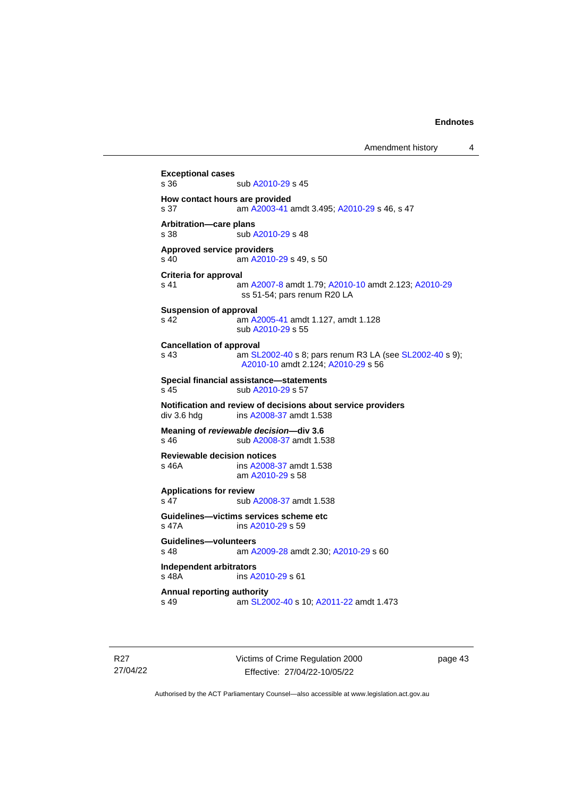```
Exceptional cases
                A2010-29 s 45
How contact hours are provided
s 37 am A2003-41 amdt 3.495; A2010-29 s 46, s 47
Arbitration—care plans
 A2010-29 s 48
Approved service providers
s 40  A2010-29 s 49, s 50
Criteria for approval
s 41 am A2007-8 amdt 1.79; A2010-10 amdt 2.123; A2010-29
               ss 51-54; pars renum R20 LA
Suspension of approval
s 42 am A2005-41 amdt 1.127, amdt 1.128
               sub A2010-29 s 55
Cancellation of approval
s 43  SL2002-40 s 8; pars renum R3 LA (see SL2002-40 s 9);
                A2010-10 amdt 2.124; A2010-29 s 56
Special financial assistance—statements
 A2010-29 s 57
Notification and review of decisions about service providers
 A2008-37 amdt 1.538
Meaning of reviewable decision—div 3.6
s 46 sub A2008-37 amdt 1.538
Reviewable decision notices
s 46A ins A2008-37 amdt 1.538
               am A2010-29 s 58
Applications for review
 A2008-37 amdt 1.538
Guidelines—victims services scheme etc
s 47A ins A2010-29 s 59
Guidelines—volunteers
s 48 am A2009-28 amdt 2.30; A2010-29 s 60
Independent arbitrators
                A2010-29 s 61
Annual reporting authority
s 49 am SL2002-40 s 10; A2011-22 amdt 1.473
```
R27 27/04/22 Victims of Crime Regulation 2000 Effective: 27/04/22-10/05/22

page 43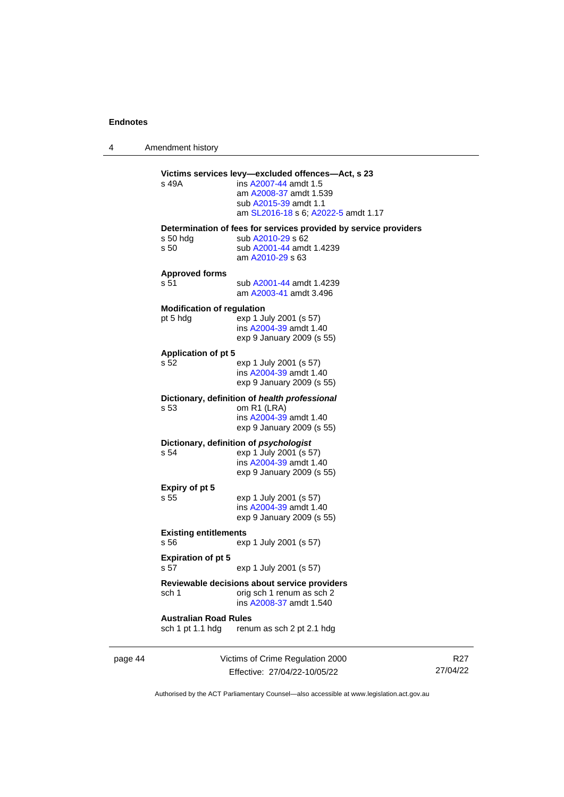4 Amendment history

|         | s 49A                                            | Victims services levy-excluded offences-Act, s 23<br>ins A2007-44 amdt 1.5<br>am A2008-37 amdt 1.539<br>sub A2015-39 amdt 1.1                                                |
|---------|--------------------------------------------------|------------------------------------------------------------------------------------------------------------------------------------------------------------------------------|
|         | $s50$ hdg<br>s 50                                | am SL2016-18 s 6; A2022-5 amdt 1.17<br>Determination of fees for services provided by service providers<br>sub A2010-29 s 62<br>sub A2001-44 amdt 1.4239<br>am A2010-29 s 63 |
|         | <b>Approved forms</b><br>s 51                    | sub A2001-44 amdt 1.4239<br>am A2003-41 amdt 3.496                                                                                                                           |
|         | <b>Modification of regulation</b><br>pt 5 hdg    | exp 1 July 2001 (s 57)<br>ins A2004-39 amdt 1.40<br>exp 9 January 2009 (s 55)                                                                                                |
|         | <b>Application of pt 5</b><br>s 52               | exp 1 July 2001 (s 57)<br>ins A2004-39 amdt 1.40<br>exp 9 January 2009 (s 55)                                                                                                |
|         | s 53                                             | Dictionary, definition of health professional<br>om R1 (LRA)<br>ins A2004-39 amdt 1.40<br>exp 9 January 2009 (s 55)                                                          |
|         | s 54                                             | Dictionary, definition of psychologist<br>exp 1 July 2001 (s 57)<br>ins A2004-39 amdt 1.40<br>exp 9 January 2009 (s 55)                                                      |
|         | Expiry of pt 5<br>s 55                           | exp 1 July 2001 (s 57)<br>ins A2004-39 amdt 1.40<br>exp 9 January 2009 (s 55)                                                                                                |
|         | <b>Existing entitlements</b><br>s 56             | exp 1 July 2001 (s 57)                                                                                                                                                       |
|         | <b>Expiration of pt 5</b><br>s 57                | exp 1 July 2001 (s 57)                                                                                                                                                       |
|         | sch 1                                            | Reviewable decisions about service providers<br>orig sch 1 renum as sch 2<br>ins A2008-37 amdt 1.540                                                                         |
|         | <b>Australian Road Rules</b><br>sch 1 pt 1.1 hdg | renum as sch 2 pt 2.1 hdg                                                                                                                                                    |
| page 44 |                                                  | Victims of Crime Regulation 2000                                                                                                                                             |

Effective: 27/04/22-10/05/22

R27 27/04/22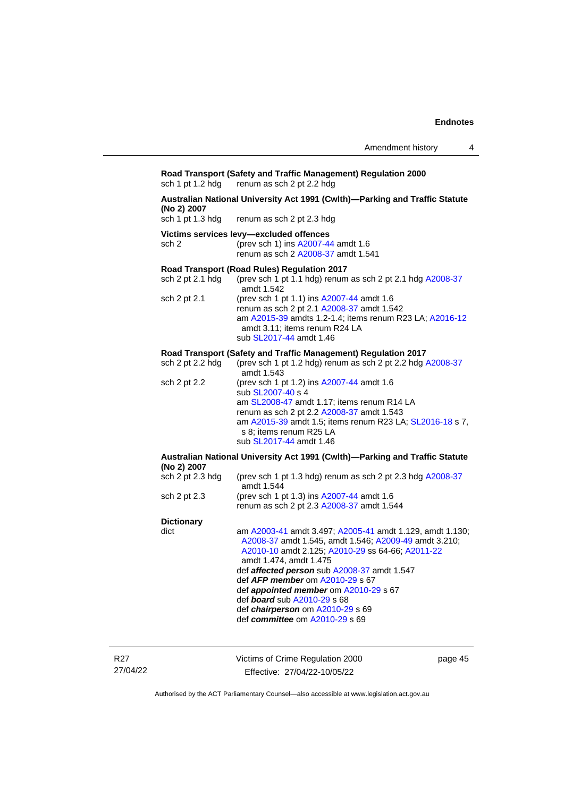#### **Road Transport (Safety and Traffic Management) Regulation 2000** sch 1 pt 1.2 hdg renum as sch 2 pt 2.2 hdg renum as sch 2 pt 2.2 hdg

# **Australian National University Act 1991 (Cwlth)—Parking and Traffic Statute (No 2) 2007**

renum as sch 2 pt 2.3 hdg

#### **Victims services levy—excluded offences**

sch 2 (prev sch 1) ins [A2007-44](http://www.legislation.act.gov.au/a/2007-44) amdt 1.6 renum as sch 2 [A2008-37](http://www.legislation.act.gov.au/a/2008-37) amdt 1.541

#### **Road Transport (Road Rules) Regulation 2017**

| sch $2$ pt $2.1$ hdg | (prev sch 1 pt 1.1 hdg) renum as sch 2 pt 2.1 hdg A2008-37<br>amdt 1.542                                                                                                                                      |
|----------------------|---------------------------------------------------------------------------------------------------------------------------------------------------------------------------------------------------------------|
| sch 2 pt 2.1         | (prev sch 1 pt 1.1) ins A2007-44 amdt 1.6<br>renum as sch 2 pt 2.1 A2008-37 amdt 1.542<br>am A2015-39 amdts 1.2-1.4: items renum R23 LA: A2016-12<br>amdt 3.11; items renum R24 LA<br>sub SL2017-44 amdt 1.46 |

#### **Road Transport (Safety and Traffic Management) Regulation 2017**

| sch 2 pt 2.2 hdg | (prev sch 1 pt 1.2 hdg) renum as sch 2 pt 2.2 hdg A2008-37<br>amdt 1.543                                                                                                                                                                                                    |
|------------------|-----------------------------------------------------------------------------------------------------------------------------------------------------------------------------------------------------------------------------------------------------------------------------|
| sch 2 pt 2.2     | (prev sch 1 pt 1.2) ins A2007-44 amdt 1.6<br>sub SL2007-40 s 4<br>am SL2008-47 amdt 1.17; items renum R14 LA<br>renum as sch 2 pt 2.2 A2008-37 amdt 1.543<br>am A2015-39 amdt 1.5; items renum R23 LA; SL2016-18 s 7,<br>s 8; items renum R25 LA<br>sub SL2017-44 amdt 1.46 |

#### **Australian National University Act 1991 (Cwlth)—Parking and Traffic Statute (No 2) 2007**

| sch 2 pt 2.3 hdg | (prev sch 1 pt 1.3 hdg) renum as sch 2 pt 2.3 hdg A2008-37<br>amdt 1.544                                                                                                                        |
|------------------|-------------------------------------------------------------------------------------------------------------------------------------------------------------------------------------------------|
| sch 2 pt 2.3     | (prev sch 1 pt 1.3) ins A2007-44 amdt 1.6                                                                                                                                                       |
|                  | renum as sch 2 pt 2.3 A2008-37 amdt 1.544                                                                                                                                                       |
| Dictionary       |                                                                                                                                                                                                 |
| dict             | am A2003-41 amdt 3.497; A2005-41 amdt 1.129, amdt 1.130;<br>A2008-37 amdt 1.545, amdt 1.546; A2009-49 amdt 3.210;<br>A2010-10 amdt 2.125; A2010-29 ss 64-66; A2011-22<br>amdt 1.474, amdt 1.475 |
|                  | def affected person sub A2008-37 amdt 1.547                                                                                                                                                     |
|                  | def $AFP$ member om $A2010-29$ s 67                                                                                                                                                             |
|                  | def <b>appointed member</b> om A2010-29 s 67                                                                                                                                                    |
|                  | def <b>board</b> sub A2010-29 s 68                                                                                                                                                              |

def *chairperson* om [A2010-29](http://www.legislation.act.gov.au/a/2010-29) s 69

def *committee* o[m A2010-29](http://www.legislation.act.gov.au/a/2010-29) s 69

R27 27/04/22 Victims of Crime Regulation 2000 Effective: 27/04/22-10/05/22

page 45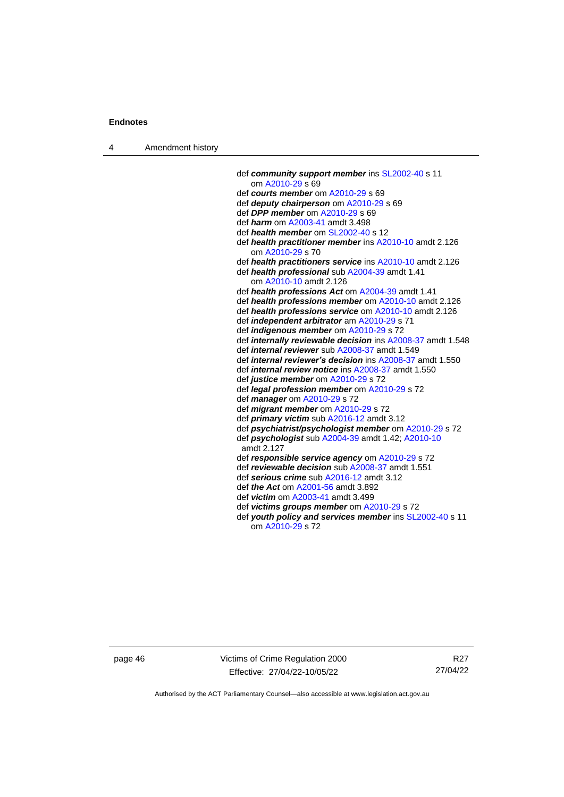4 Amendment history

def *community support member* ins [SL2002-40](http://www.legislation.act.gov.au/sl/2002-40) s 11 om [A2010-29](http://www.legislation.act.gov.au/a/2010-29) s 69 def *courts member* o[m A2010-29](http://www.legislation.act.gov.au/a/2010-29) s 69 def *deputy chairperson* om [A2010-29](http://www.legislation.act.gov.au/a/2010-29) s 69 def *DPP member* o[m A2010-29](http://www.legislation.act.gov.au/a/2010-29) s 69 def *harm* o[m A2003-41](http://www.legislation.act.gov.au/a/2003-41) amdt 3.498 def *health member* o[m SL2002-40](http://www.legislation.act.gov.au/sl/2002-40) s 12 def *health practitioner member* in[s A2010-10](http://www.legislation.act.gov.au/a/2010-10) amdt 2.126 om [A2010-29](http://www.legislation.act.gov.au/a/2010-29) s 70 def *health practitioners service* in[s A2010-10](http://www.legislation.act.gov.au/a/2010-10) amdt 2.126 def *health professional* sub [A2004-39](http://www.legislation.act.gov.au/a/2004-39) amdt 1.41 om [A2010-10](http://www.legislation.act.gov.au/a/2010-10) amdt 2.126 def *health professions Act* o[m A2004-39](http://www.legislation.act.gov.au/a/2004-39) amdt 1.41 def *health professions member* om [A2010-10](http://www.legislation.act.gov.au/a/2010-10) amdt 2.126 def *health professions service* om [A2010-10](http://www.legislation.act.gov.au/a/2010-10) amdt 2.126 def *independent arbitrator* a[m A2010-29](http://www.legislation.act.gov.au/a/2010-29) s 71 def *indigenous member* om [A2010-29](http://www.legislation.act.gov.au/a/2010-29) s 72 def *internally reviewable decision* ins [A2008-37](http://www.legislation.act.gov.au/a/2008-37) amdt 1.548 def *internal reviewer* sub [A2008-37](http://www.legislation.act.gov.au/a/2008-37) amdt 1.549 def *internal reviewer's decision* in[s A2008-37](http://www.legislation.act.gov.au/a/2008-37) amdt 1.550 def *internal review notice* in[s A2008-37](http://www.legislation.act.gov.au/a/2008-37) amdt 1.550 def *justice member* o[m A2010-29](http://www.legislation.act.gov.au/a/2010-29) s 72 def *legal profession member* om [A2010-29](http://www.legislation.act.gov.au/a/2010-29) s 72 def *manager* om [A2010-29](http://www.legislation.act.gov.au/a/2010-29) s 72 def *migrant member* om [A2010-29](http://www.legislation.act.gov.au/a/2010-29) s 72 def *primary victim* sub [A2016-12](http://www.legislation.act.gov.au/a/2016-12/default.asp) amdt 3.12 def *psychiatrist/psychologist member* o[m A2010-29](http://www.legislation.act.gov.au/a/2010-29) s 72 def *psychologist* sub [A2004-39](http://www.legislation.act.gov.au/a/2004-39) amdt 1.42[; A2010-10](http://www.legislation.act.gov.au/a/2010-10) amdt 2.127 def *responsible service agency* om [A2010-29](http://www.legislation.act.gov.au/a/2010-29) s 72 def *reviewable decision* su[b A2008-37](http://www.legislation.act.gov.au/a/2008-37) amdt 1.551 def *serious crime* sub [A2016-12](http://www.legislation.act.gov.au/a/2016-12/default.asp) amdt 3.12 def *the Act* om [A2001-56](http://www.legislation.act.gov.au/a/2001-56) amdt 3.892 def *victim* o[m A2003-41](http://www.legislation.act.gov.au/a/2003-41) amdt 3.499 def *victims groups member* om [A2010-29](http://www.legislation.act.gov.au/a/2010-29) s 72 def *youth policy and services member* ins [SL2002-40](http://www.legislation.act.gov.au/sl/2002-40) s 11 om [A2010-29](http://www.legislation.act.gov.au/a/2010-29) s 72

page 46 Victims of Crime Regulation 2000 Effective: 27/04/22-10/05/22

R27 27/04/22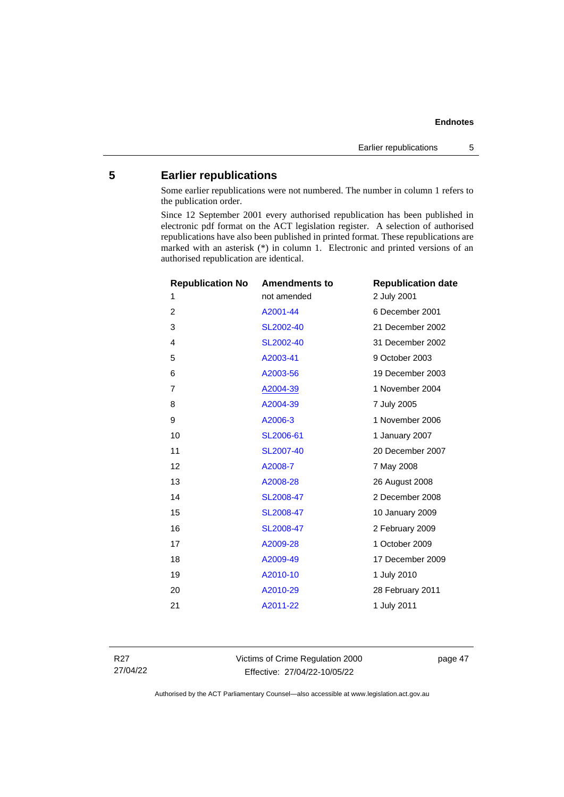# <span id="page-52-0"></span>**5 Earlier republications**

Some earlier republications were not numbered. The number in column 1 refers to the publication order.

Since 12 September 2001 every authorised republication has been published in electronic pdf format on the ACT legislation register. A selection of authorised republications have also been published in printed format. These republications are marked with an asterisk (\*) in column 1. Electronic and printed versions of an authorised republication are identical.

| <b>Republication No</b> | <b>Amendments to</b> | <b>Republication date</b> |
|-------------------------|----------------------|---------------------------|
| 1                       | not amended          | 2 July 2001               |
| $\overline{2}$          | A2001-44             | 6 December 2001           |
| 3                       | SL2002-40            | 21 December 2002          |
| 4                       | SL2002-40            | 31 December 2002          |
| 5                       | A2003-41             | 9 October 2003            |
| 6                       | A2003-56             | 19 December 2003          |
| $\overline{7}$          | A2004-39             | 1 November 2004           |
| 8                       | A2004-39             | 7 July 2005               |
| 9                       | A2006-3              | 1 November 2006           |
| 10                      | SL2006-61            | 1 January 2007            |
| 11                      | SL2007-40            | 20 December 2007          |
| 12                      | A2008-7              | 7 May 2008                |
| 13                      | A2008-28             | 26 August 2008            |
| 14                      | SL2008-47            | 2 December 2008           |
| 15                      | SL2008-47            | 10 January 2009           |
| 16                      | SL2008-47            | 2 February 2009           |
| 17                      | A2009-28             | 1 October 2009            |
| 18                      | A2009-49             | 17 December 2009          |
| 19                      | A2010-10             | 1 July 2010               |
| 20                      | A2010-29             | 28 February 2011          |
| 21                      | A2011-22             | 1 July 2011               |
|                         |                      |                           |

R27 27/04/22 Victims of Crime Regulation 2000 Effective: 27/04/22-10/05/22

page 47